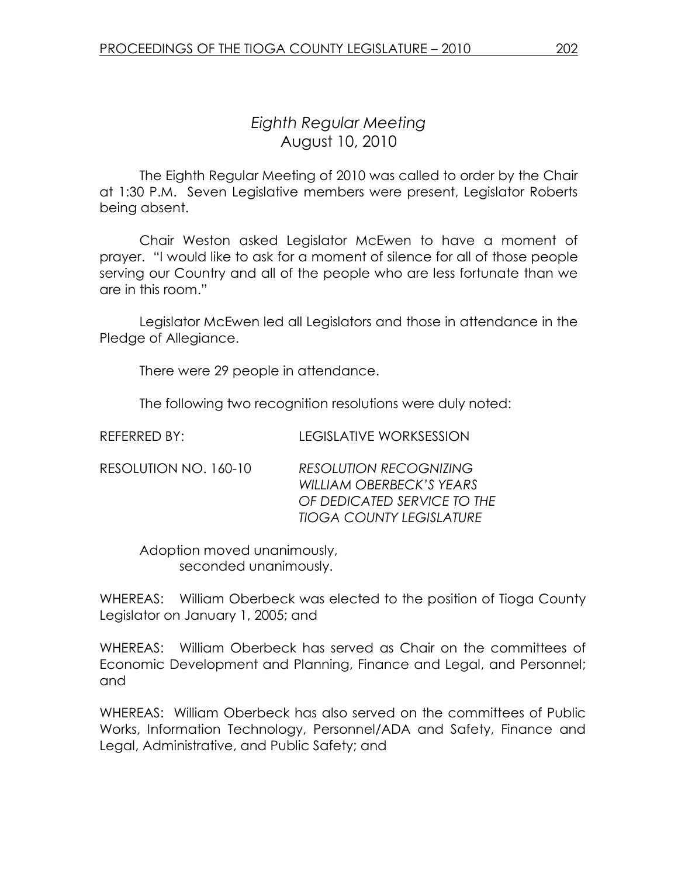# Eighth Regular Meeting August 10, 2010

 The Eighth Regular Meeting of 2010 was called to order by the Chair at 1:30 P.M. Seven Legislative members were present, Legislator Roberts being absent.

 Chair Weston asked Legislator McEwen to have a moment of prayer. "I would like to ask for a moment of silence for all of those people serving our Country and all of the people who are less fortunate than we are in this room."

 Legislator McEwen led all Legislators and those in attendance in the Pledge of Allegiance.

There were 29 people in attendance.

The following two recognition resolutions were duly noted:

| REFERRED BY:          | LEGISLATIVE WORKSESSION                                                                                                     |
|-----------------------|-----------------------------------------------------------------------------------------------------------------------------|
| RESOLUTION NO. 160-10 | <b>RESOLUTION RECOGNIZING</b><br>WILLIAM OBERBECK'S YEARS<br>OF DEDICATED SERVICE TO THE<br><b>TIOGA COUNTY LEGISLATURE</b> |

 Adoption moved unanimously, seconded unanimously.

WHEREAS: William Oberbeck was elected to the position of Tioga County Legislator on January 1, 2005; and

WHEREAS: William Oberbeck has served as Chair on the committees of Economic Development and Planning, Finance and Legal, and Personnel; and

WHEREAS: William Oberbeck has also served on the committees of Public Works, Information Technology, Personnel/ADA and Safety, Finance and Legal, Administrative, and Public Safety; and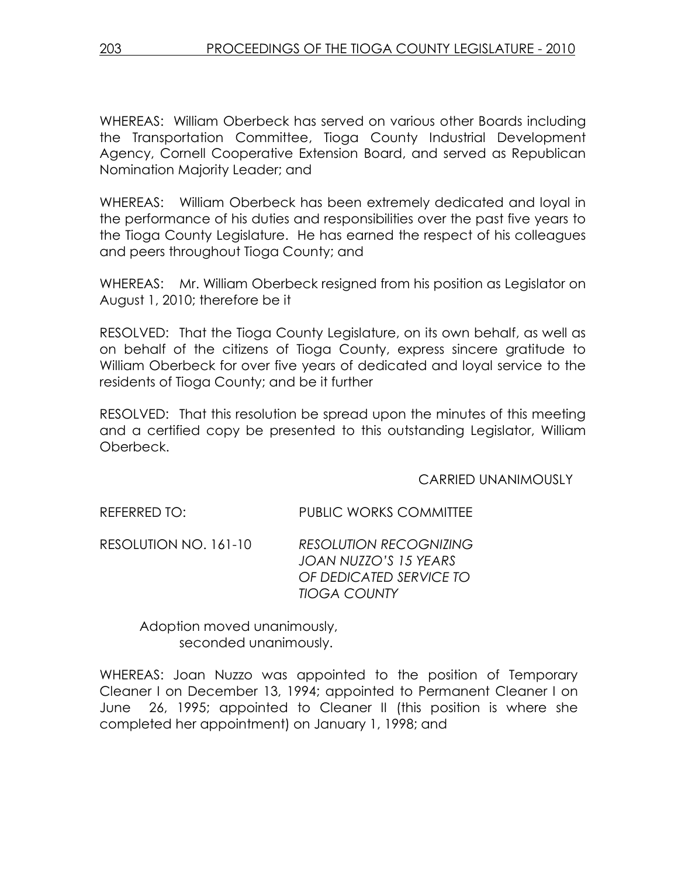WHEREAS: William Oberbeck has served on various other Boards including the Transportation Committee, Tioga County Industrial Development Agency, Cornell Cooperative Extension Board, and served as Republican Nomination Majority Leader; and

WHEREAS: William Oberbeck has been extremely dedicated and loyal in the performance of his duties and responsibilities over the past five years to the Tioga County Legislature. He has earned the respect of his colleagues and peers throughout Tioga County; and

WHEREAS: Mr. William Oberbeck resigned from his position as Legislator on August 1, 2010; therefore be it

RESOLVED: That the Tioga County Legislature, on its own behalf, as well as on behalf of the citizens of Tioga County, express sincere gratitude to William Oberbeck for over five years of dedicated and loyal service to the residents of Tioga County; and be it further

RESOLVED: That this resolution be spread upon the minutes of this meeting and a certified copy be presented to this outstanding Legislator, William Oberbeck.

### CARRIED UNANIMOUSLY

REFERRED TO: PUBLIC WORKS COMMITTEE

RESOLUTION NO. 161-10 RESOLUTION RECOGNIZING JOAN NUZZO'S 15 YEARS OF DEDICATED SERVICE TO TIOGA COUNTY

> Adoption moved unanimously, seconded unanimously.

WHEREAS: Joan Nuzzo was appointed to the position of Temporary Cleaner I on December 13, 1994; appointed to Permanent Cleaner I on June 26, 1995; appointed to Cleaner II (this position is where she completed her appointment) on January 1, 1998; and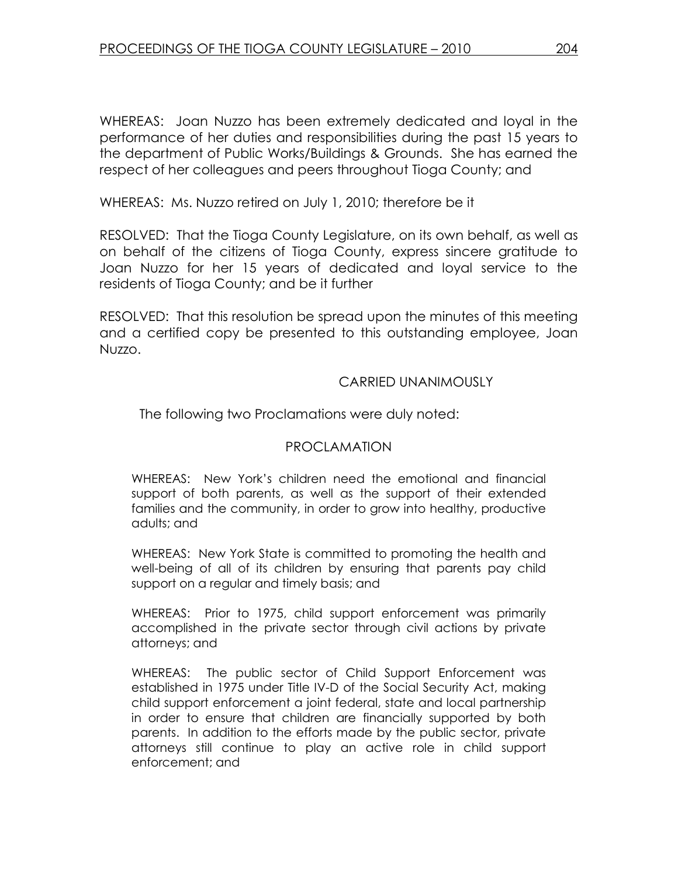WHEREAS: Joan Nuzzo has been extremely dedicated and loyal in the performance of her duties and responsibilities during the past 15 years to the department of Public Works/Buildings & Grounds. She has earned the respect of her colleagues and peers throughout Tioga County; and

WHEREAS: Ms. Nuzzo retired on July 1, 2010; therefore be it

RESOLVED: That the Tioga County Legislature, on its own behalf, as well as on behalf of the citizens of Tioga County, express sincere gratitude to Joan Nuzzo for her 15 years of dedicated and loyal service to the residents of Tioga County; and be it further

RESOLVED: That this resolution be spread upon the minutes of this meeting and a certified copy be presented to this outstanding employee, Joan Nuzzo.

#### CARRIED UNANIMOUSLY

The following two Proclamations were duly noted:

### PROCLAMATION

WHEREAS: New York's children need the emotional and financial support of both parents, as well as the support of their extended families and the community, in order to grow into healthy, productive adults; and

WHEREAS: New York State is committed to promoting the health and well-being of all of its children by ensuring that parents pay child support on a regular and timely basis; and

WHEREAS: Prior to 1975, child support enforcement was primarily accomplished in the private sector through civil actions by private attorneys; and

WHEREAS: The public sector of Child Support Enforcement was established in 1975 under Title IV-D of the Social Security Act, making child support enforcement a joint federal, state and local partnership in order to ensure that children are financially supported by both parents. In addition to the efforts made by the public sector, private attorneys still continue to play an active role in child support enforcement; and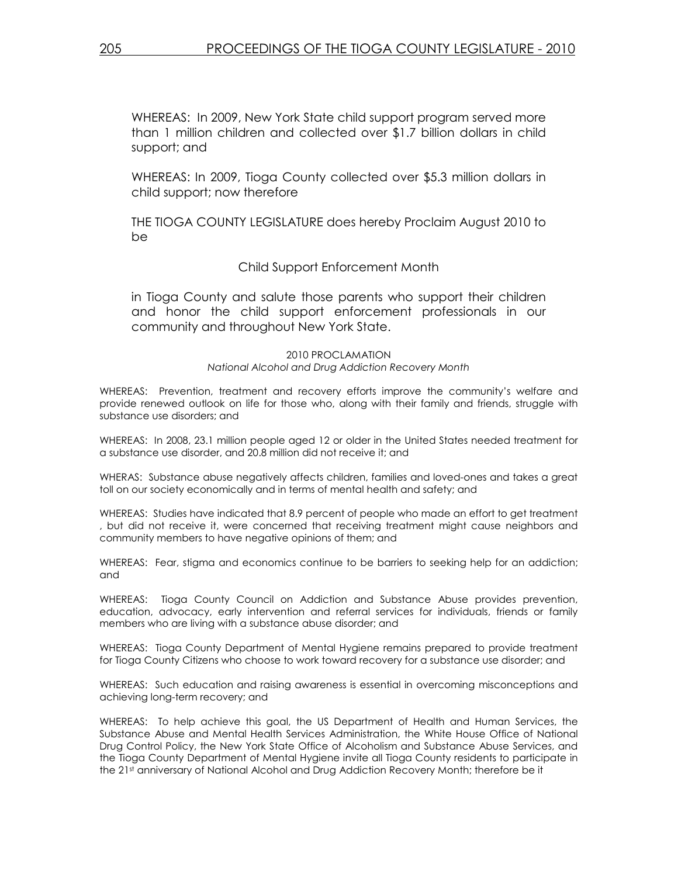WHEREAS: In 2009, New York State child support program served more than 1 million children and collected over \$1.7 billion dollars in child support; and

WHEREAS: In 2009, Tioga County collected over \$5.3 million dollars in child support; now therefore

THE TIOGA COUNTY LEGISLATURE does hereby Proclaim August 2010 to be

#### Child Support Enforcement Month

in Tioga County and salute those parents who support their children and honor the child support enforcement professionals in our community and throughout New York State.

> 2010 PROCLAMATION National Alcohol and Drug Addiction Recovery Month

WHEREAS: Prevention, treatment and recovery efforts improve the community's welfare and provide renewed outlook on life for those who, along with their family and friends, struggle with substance use disorders; and

WHEREAS: In 2008, 23.1 million people aged 12 or older in the United States needed treatment for a substance use disorder, and 20.8 million did not receive it; and

WHERAS: Substance abuse negatively affects children, families and loved-ones and takes a great toll on our society economically and in terms of mental health and safety; and

WHEREAS: Studies have indicated that 8.9 percent of people who made an effort to get treatment , but did not receive it, were concerned that receiving treatment might cause neighbors and community members to have negative opinions of them; and

WHEREAS: Fear, stigma and economics continue to be barriers to seeking help for an addiction; and

WHEREAS: Tioga County Council on Addiction and Substance Abuse provides prevention, education, advocacy, early intervention and referral services for individuals, friends or family members who are living with a substance abuse disorder; and

WHEREAS: Tioga County Department of Mental Hygiene remains prepared to provide treatment for Tioga County Citizens who choose to work toward recovery for a substance use disorder; and

WHEREAS: Such education and raising awareness is essential in overcoming misconceptions and achieving long-term recovery; and

WHEREAS: To help achieve this goal, the US Department of Health and Human Services, the Substance Abuse and Mental Health Services Administration, the White House Office of National Drug Control Policy, the New York State Office of Alcoholism and Substance Abuse Services, and the Tioga County Department of Mental Hygiene invite all Tioga County residents to participate in the 21<sup>st</sup> anniversary of National Alcohol and Drug Addiction Recovery Month; therefore be it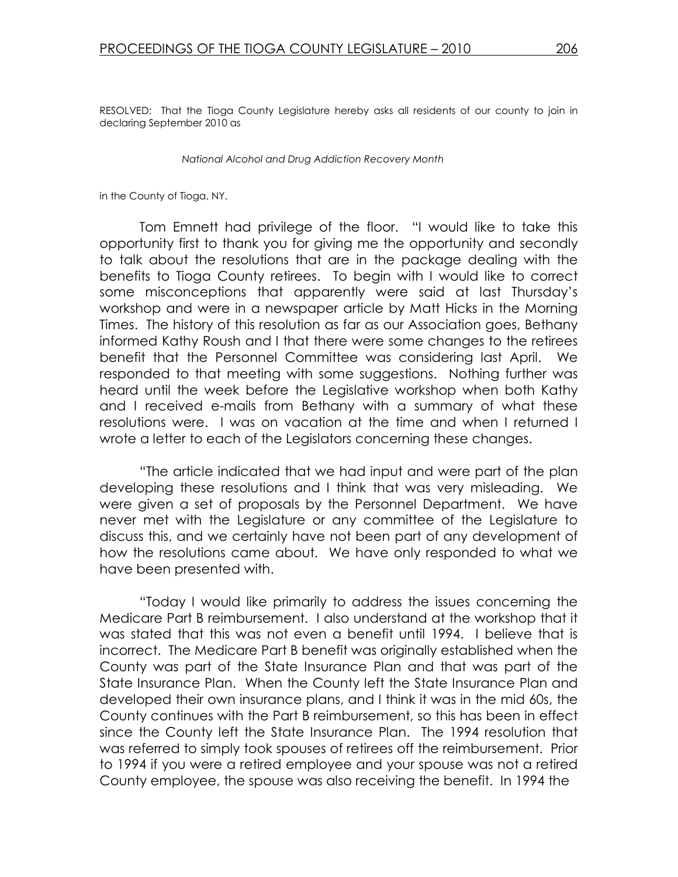RESOLVED: That the Tioga County Legislature hereby asks all residents of our county to join in declaring September 2010 as

National Alcohol and Drug Addiction Recovery Month

in the County of Tioga, NY.

 Tom Emnett had privilege of the floor. "I would like to take this opportunity first to thank you for giving me the opportunity and secondly to talk about the resolutions that are in the package dealing with the benefits to Tioga County retirees. To begin with I would like to correct some misconceptions that apparently were said at last Thursday's workshop and were in a newspaper article by Matt Hicks in the Morning Times. The history of this resolution as far as our Association goes, Bethany informed Kathy Roush and I that there were some changes to the retirees benefit that the Personnel Committee was considering last April. We responded to that meeting with some suggestions. Nothing further was heard until the week before the Legislative workshop when both Kathy and I received e-mails from Bethany with a summary of what these resolutions were. I was on vacation at the time and when I returned I wrote a letter to each of the Legislators concerning these changes.

 "The article indicated that we had input and were part of the plan developing these resolutions and I think that was very misleading. We were given a set of proposals by the Personnel Department. We have never met with the Legislature or any committee of the Legislature to discuss this, and we certainly have not been part of any development of how the resolutions came about. We have only responded to what we have been presented with.

 "Today I would like primarily to address the issues concerning the Medicare Part B reimbursement. I also understand at the workshop that it was stated that this was not even a benefit until 1994. I believe that is incorrect. The Medicare Part B benefit was originally established when the County was part of the State Insurance Plan and that was part of the State Insurance Plan. When the County left the State Insurance Plan and developed their own insurance plans, and I think it was in the mid 60s, the County continues with the Part B reimbursement, so this has been in effect since the County left the State Insurance Plan. The 1994 resolution that was referred to simply took spouses of retirees off the reimbursement. Prior to 1994 if you were a retired employee and your spouse was not a retired County employee, the spouse was also receiving the benefit. In 1994 the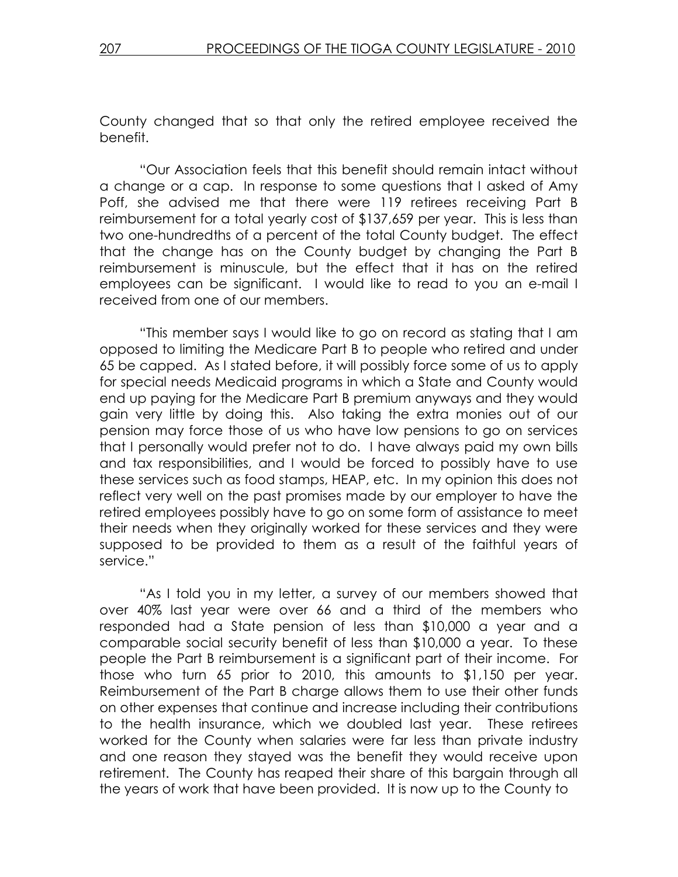County changed that so that only the retired employee received the benefit.

 "Our Association feels that this benefit should remain intact without a change or a cap. In response to some questions that I asked of Amy Poff, she advised me that there were 119 retirees receiving Part B reimbursement for a total yearly cost of \$137,659 per year. This is less than two one-hundredths of a percent of the total County budget. The effect that the change has on the County budget by changing the Part B reimbursement is minuscule, but the effect that it has on the retired employees can be significant. I would like to read to you an e-mail I received from one of our members.

 "This member says I would like to go on record as stating that I am opposed to limiting the Medicare Part B to people who retired and under 65 be capped. As I stated before, it will possibly force some of us to apply for special needs Medicaid programs in which a State and County would end up paying for the Medicare Part B premium anyways and they would gain very little by doing this. Also taking the extra monies out of our pension may force those of us who have low pensions to go on services that I personally would prefer not to do. I have always paid my own bills and tax responsibilities, and I would be forced to possibly have to use these services such as food stamps, HEAP, etc. In my opinion this does not reflect very well on the past promises made by our employer to have the retired employees possibly have to go on some form of assistance to meet their needs when they originally worked for these services and they were supposed to be provided to them as a result of the faithful years of service."

 "As I told you in my letter, a survey of our members showed that over 40% last year were over 66 and a third of the members who responded had a State pension of less than \$10,000 a year and a comparable social security benefit of less than \$10,000 a year. To these people the Part B reimbursement is a significant part of their income. For those who turn 65 prior to 2010, this amounts to \$1,150 per year. Reimbursement of the Part B charge allows them to use their other funds on other expenses that continue and increase including their contributions to the health insurance, which we doubled last year. These retirees worked for the County when salaries were far less than private industry and one reason they stayed was the benefit they would receive upon retirement. The County has reaped their share of this bargain through all the years of work that have been provided. It is now up to the County to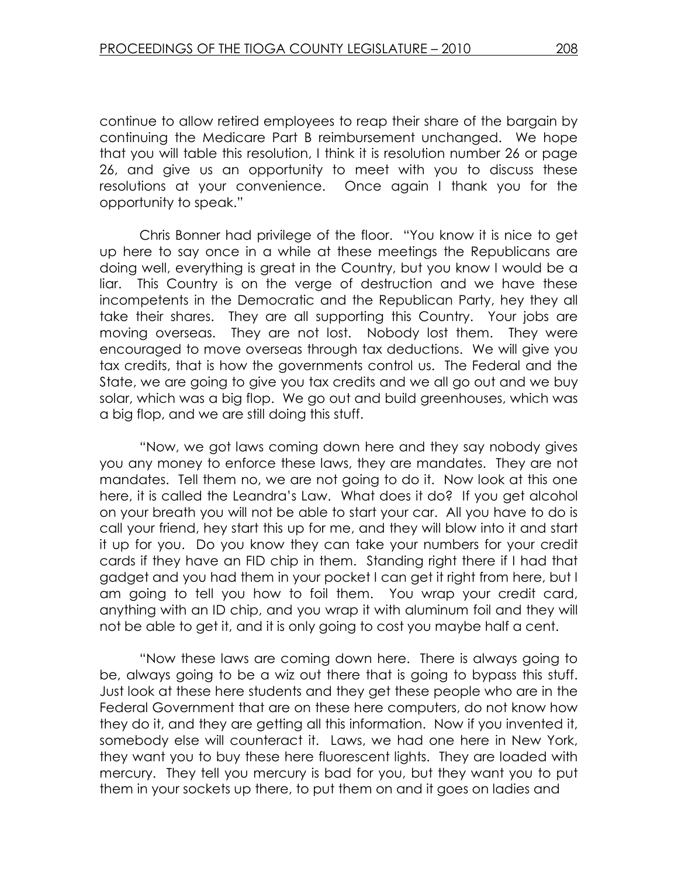continue to allow retired employees to reap their share of the bargain by continuing the Medicare Part B reimbursement unchanged. We hope that you will table this resolution, I think it is resolution number 26 or page 26, and give us an opportunity to meet with you to discuss these resolutions at your convenience. Once again I thank you for the opportunity to speak."

 Chris Bonner had privilege of the floor. "You know it is nice to get up here to say once in a while at these meetings the Republicans are doing well, everything is great in the Country, but you know I would be a liar. This Country is on the verge of destruction and we have these incompetents in the Democratic and the Republican Party, hey they all take their shares. They are all supporting this Country. Your jobs are moving overseas. They are not lost. Nobody lost them. They were encouraged to move overseas through tax deductions. We will give you tax credits, that is how the governments control us. The Federal and the State, we are going to give you tax credits and we all go out and we buy solar, which was a big flop. We go out and build greenhouses, which was a big flop, and we are still doing this stuff.

 "Now, we got laws coming down here and they say nobody gives you any money to enforce these laws, they are mandates. They are not mandates. Tell them no, we are not going to do it. Now look at this one here, it is called the Leandra's Law. What does it do? If you get alcohol on your breath you will not be able to start your car. All you have to do is call your friend, hey start this up for me, and they will blow into it and start it up for you. Do you know they can take your numbers for your credit cards if they have an FID chip in them. Standing right there if I had that gadget and you had them in your pocket I can get it right from here, but I am going to tell you how to foil them. You wrap your credit card, anything with an ID chip, and you wrap it with aluminum foil and they will not be able to get it, and it is only going to cost you maybe half a cent.

 "Now these laws are coming down here. There is always going to be, always going to be a wiz out there that is going to bypass this stuff. Just look at these here students and they get these people who are in the Federal Government that are on these here computers, do not know how they do it, and they are getting all this information. Now if you invented it, somebody else will counteract it. Laws, we had one here in New York, they want you to buy these here fluorescent lights. They are loaded with mercury. They tell you mercury is bad for you, but they want you to put them in your sockets up there, to put them on and it goes on ladies and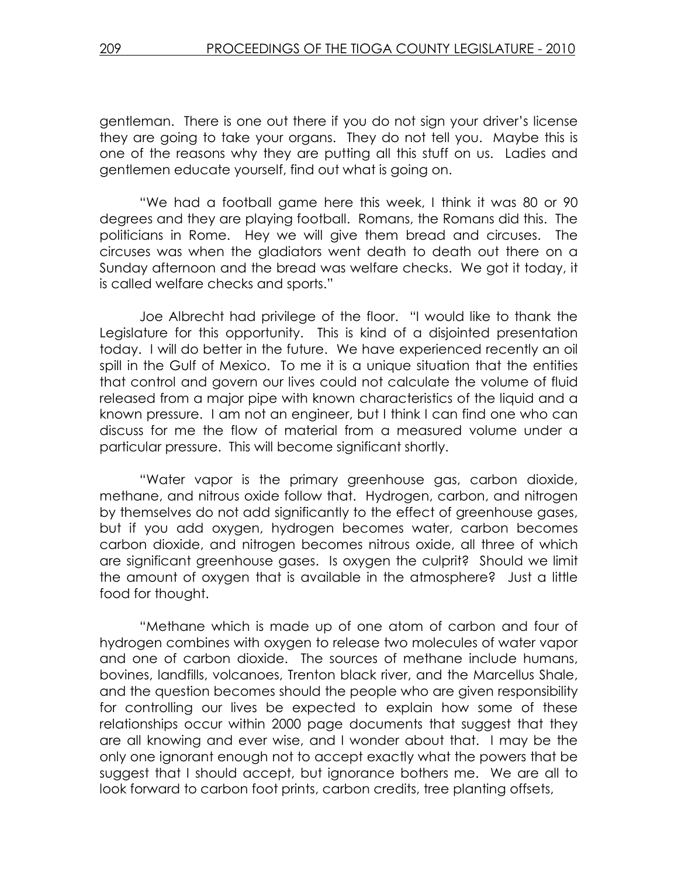gentleman. There is one out there if you do not sign your driver's license they are going to take your organs. They do not tell you. Maybe this is one of the reasons why they are putting all this stuff on us. Ladies and gentlemen educate yourself, find out what is going on.

 "We had a football game here this week, I think it was 80 or 90 degrees and they are playing football. Romans, the Romans did this. The politicians in Rome. Hey we will give them bread and circuses. The circuses was when the gladiators went death to death out there on a Sunday afternoon and the bread was welfare checks. We got it today, it is called welfare checks and sports."

 Joe Albrecht had privilege of the floor. "I would like to thank the Legislature for this opportunity. This is kind of a disjointed presentation today. I will do better in the future. We have experienced recently an oil spill in the Gulf of Mexico. To me it is a unique situation that the entities that control and govern our lives could not calculate the volume of fluid released from a major pipe with known characteristics of the liquid and a known pressure. I am not an engineer, but I think I can find one who can discuss for me the flow of material from a measured volume under a particular pressure. This will become significant shortly.

 "Water vapor is the primary greenhouse gas, carbon dioxide, methane, and nitrous oxide follow that. Hydrogen, carbon, and nitrogen by themselves do not add significantly to the effect of greenhouse gases, but if you add oxygen, hydrogen becomes water, carbon becomes carbon dioxide, and nitrogen becomes nitrous oxide, all three of which are significant greenhouse gases. Is oxygen the culprit? Should we limit the amount of oxygen that is available in the atmosphere? Just a little food for thought.

 "Methane which is made up of one atom of carbon and four of hydrogen combines with oxygen to release two molecules of water vapor and one of carbon dioxide. The sources of methane include humans, bovines, landfills, volcanoes, Trenton black river, and the Marcellus Shale, and the question becomes should the people who are given responsibility for controlling our lives be expected to explain how some of these relationships occur within 2000 page documents that suggest that they are all knowing and ever wise, and I wonder about that. I may be the only one ignorant enough not to accept exactly what the powers that be suggest that I should accept, but ignorance bothers me. We are all to look forward to carbon foot prints, carbon credits, tree planting offsets,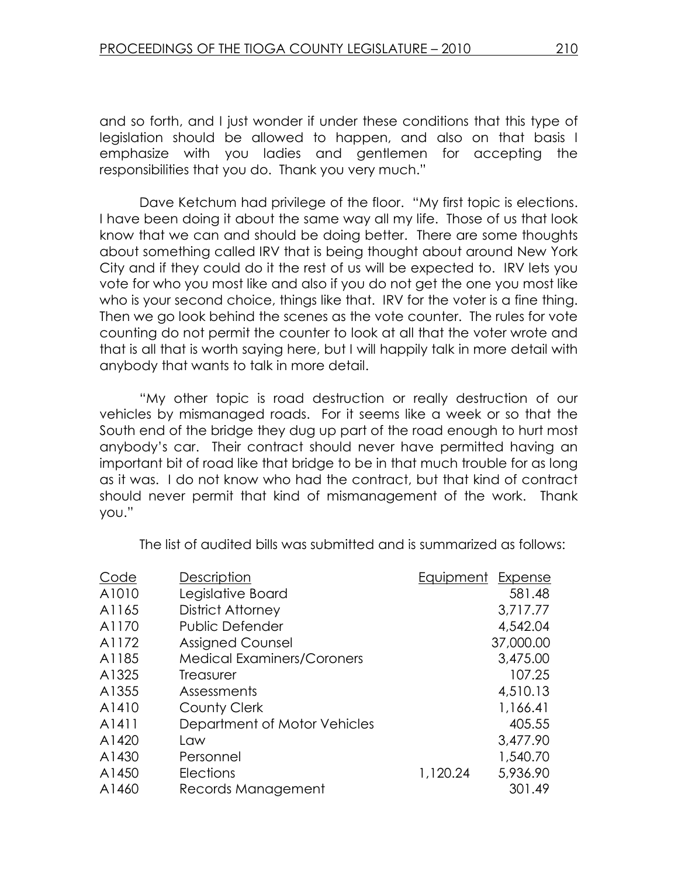and so forth, and I just wonder if under these conditions that this type of legislation should be allowed to happen, and also on that basis I emphasize with you ladies and gentlemen for accepting the responsibilities that you do. Thank you very much."

 Dave Ketchum had privilege of the floor. "My first topic is elections. I have been doing it about the same way all my life. Those of us that look know that we can and should be doing better. There are some thoughts about something called IRV that is being thought about around New York City and if they could do it the rest of us will be expected to. IRV lets you vote for who you most like and also if you do not get the one you most like who is your second choice, things like that. IRV for the voter is a fine thing. Then we go look behind the scenes as the vote counter. The rules for vote counting do not permit the counter to look at all that the voter wrote and that is all that is worth saying here, but I will happily talk in more detail with anybody that wants to talk in more detail.

 "My other topic is road destruction or really destruction of our vehicles by mismanaged roads. For it seems like a week or so that the South end of the bridge they dug up part of the road enough to hurt most anybody's car. Their contract should never have permitted having an important bit of road like that bridge to be in that much trouble for as long as it was. I do not know who had the contract, but that kind of contract should never permit that kind of mismanagement of the work. Thank you."

The list of audited bills was submitted and is summarized as follows:

| Code  | Description                       | Equipment | Expense   |
|-------|-----------------------------------|-----------|-----------|
| A1010 | Legislative Board                 |           | 581.48    |
| A1165 | District Attorney                 |           | 3,717.77  |
| A1170 | <b>Public Defender</b>            |           | 4,542.04  |
| A1172 | <b>Assigned Counsel</b>           |           | 37,000.00 |
| A1185 | <b>Medical Examiners/Coroners</b> |           | 3,475.00  |
| A1325 | <b>Treasurer</b>                  |           | 107.25    |
| A1355 | Assessments                       |           | 4,510.13  |
| A1410 | County Clerk                      |           | 1,166.41  |
| A1411 | Department of Motor Vehicles      |           | 405.55    |
| A1420 | Law                               |           | 3,477.90  |
| A1430 | Personnel                         |           | 1,540.70  |
| A1450 | <b>Elections</b>                  | 1,120.24  | 5,936.90  |
| A1460 | Records Management                |           | 301.49    |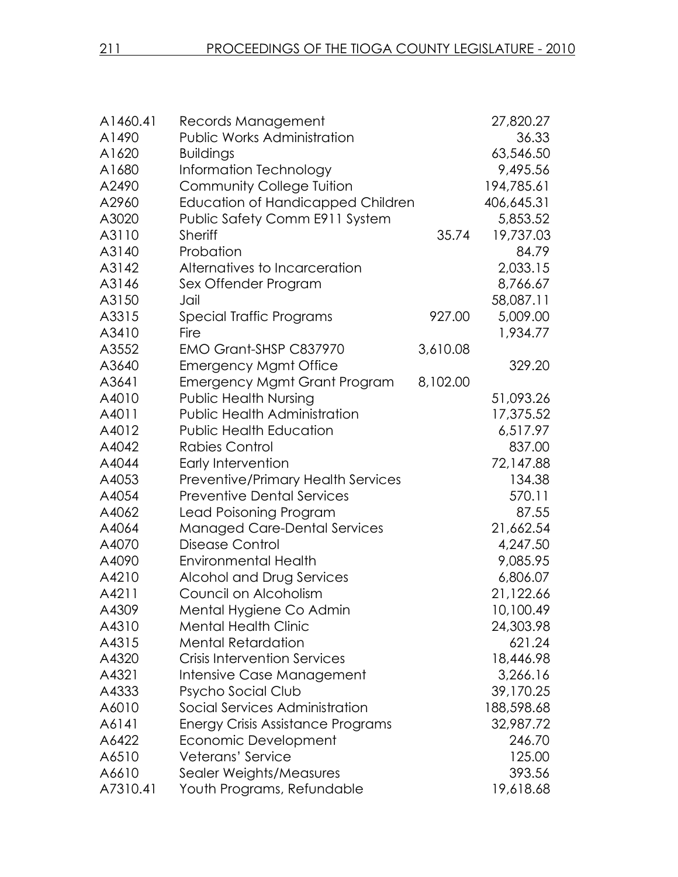| A1460.41 | Records Management                        |          | 27,820.27  |
|----------|-------------------------------------------|----------|------------|
| A1490    | <b>Public Works Administration</b>        |          | 36.33      |
| A1620    | <b>Buildings</b>                          |          | 63,546.50  |
| A1680    | Information Technology                    |          | 9,495.56   |
| A2490    | <b>Community College Tuition</b>          |          | 194,785.61 |
| A2960    | Education of Handicapped Children         |          | 406,645.31 |
| A3020    | Public Safety Comm E911 System            |          | 5,853.52   |
| A3110    | <b>Sheriff</b>                            | 35.74    | 19,737.03  |
| A3140    | Probation                                 |          | 84.79      |
| A3142    | Alternatives to Incarceration             |          | 2,033.15   |
| A3146    | Sex Offender Program                      |          | 8,766.67   |
| A3150    | Jail                                      |          | 58,087.11  |
| A3315    | Special Traffic Programs                  | 927.00   | 5,009.00   |
| A3410    | Fire                                      |          | 1,934.77   |
| A3552    | EMO Grant-SHSP C837970                    | 3,610.08 |            |
| A3640    | <b>Emergency Mgmt Office</b>              |          | 329.20     |
| A3641    | <b>Emergency Mgmt Grant Program</b>       | 8,102.00 |            |
| A4010    | <b>Public Health Nursing</b>              |          | 51,093.26  |
| A4011    | <b>Public Health Administration</b>       |          | 17,375.52  |
| A4012    | <b>Public Health Education</b>            |          | 6,517.97   |
| A4042    | Rabies Control                            |          | 837.00     |
| A4044    | Early Intervention                        |          | 72,147.88  |
| A4053    | <b>Preventive/Primary Health Services</b> |          | 134.38     |
| A4054    | <b>Preventive Dental Services</b>         |          | 570.11     |
| A4062    | Lead Poisoning Program                    |          | 87.55      |
| A4064    | <b>Managed Care-Dental Services</b>       |          | 21,662.54  |
| A4070    | Disease Control                           |          | 4,247.50   |
| A4090    | <b>Environmental Health</b>               |          | 9,085.95   |
| A4210    | Alcohol and Drug Services                 |          | 6,806.07   |
| A4211    | Council on Alcoholism                     |          | 21,122.66  |
| A4309    | Mental Hygiene Co Admin                   |          | 10,100.49  |
| A4310    | <b>Mental Health Clinic</b>               |          | 24,303.98  |
| A4315    | <b>Mental Retardation</b>                 |          | 621.24     |
| A4320    | <b>Crisis Intervention Services</b>       |          | 18,446.98  |
| A4321    | Intensive Case Management                 |          | 3,266.16   |
| A4333    | Psycho Social Club                        |          | 39,170.25  |
| A6010    | Social Services Administration            |          | 188,598.68 |
| A6141    | <b>Energy Crisis Assistance Programs</b>  |          | 32,987.72  |
| A6422    | Economic Development                      |          | 246.70     |
| A6510    | Veterans' Service                         |          | 125.00     |
| A6610    | Sealer Weights/Measures                   |          | 393.56     |
| A7310.41 | Youth Programs, Refundable                |          | 19,618.68  |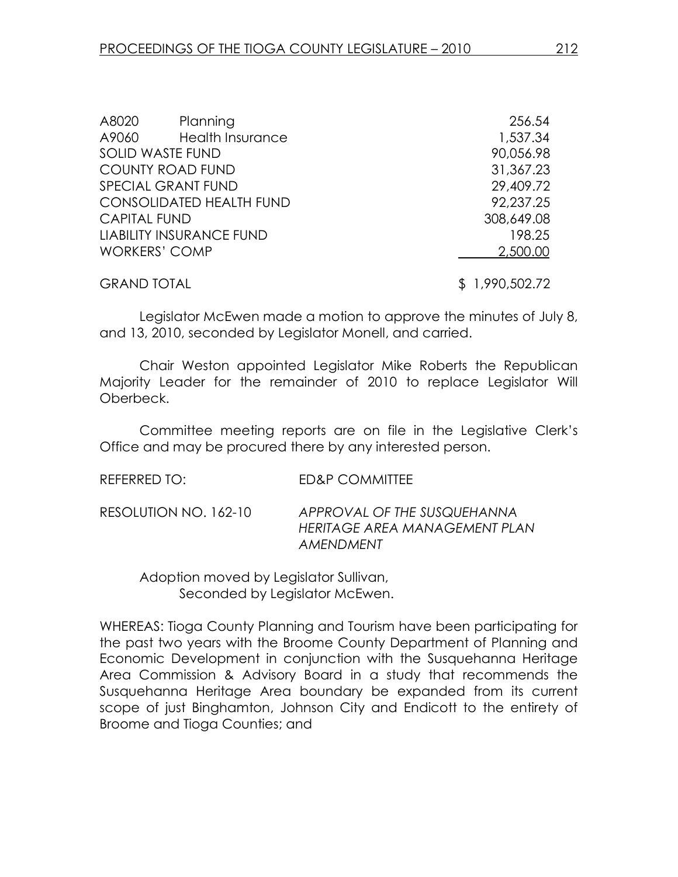| A8020                | Planning                        | 256.54         |
|----------------------|---------------------------------|----------------|
| A9060                | <b>Health Insurance</b>         | 1,537.34       |
|                      | <b>SOLID WASTE FUND</b>         | 90,056.98      |
|                      | <b>COUNTY ROAD FUND</b>         | 31,367.23      |
|                      | <b>SPECIAL GRANT FUND</b>       | 29,409.72      |
|                      | <b>CONSOLIDATED HEALTH FUND</b> | 92,237.25      |
| <b>CAPITAL FUND</b>  |                                 | 308,649.08     |
|                      | <b>LIABILITY INSURANCE FUND</b> | 198.25         |
| <b>WORKERS' COMP</b> |                                 | 2,500.00       |
| <b>GRAND TOTAL</b>   |                                 | \$1,990,502.72 |

Legislator McEwen made a motion to approve the minutes of July 8, and 13, 2010, seconded by Legislator Monell, and carried.

 Chair Weston appointed Legislator Mike Roberts the Republican Majority Leader for the remainder of 2010 to replace Legislator Will Oberbeck.

Committee meeting reports are on file in the Legislative Clerk's Office and may be procured there by any interested person.

| REFERRED TO: I        | ED&P COMMITTEE                                                            |
|-----------------------|---------------------------------------------------------------------------|
| RESOLUTION NO. 162-10 | APPROVAL OF THE SUSQUEHANNA<br>HERITAGE AREA MANAGEMENT PLAN<br>AMENDMENT |

 Adoption moved by Legislator Sullivan, Seconded by Legislator McEwen.

WHEREAS: Tioga County Planning and Tourism have been participating for the past two years with the Broome County Department of Planning and Economic Development in conjunction with the Susquehanna Heritage Area Commission & Advisory Board in a study that recommends the Susquehanna Heritage Area boundary be expanded from its current scope of just Binghamton, Johnson City and Endicott to the entirety of Broome and Tioga Counties; and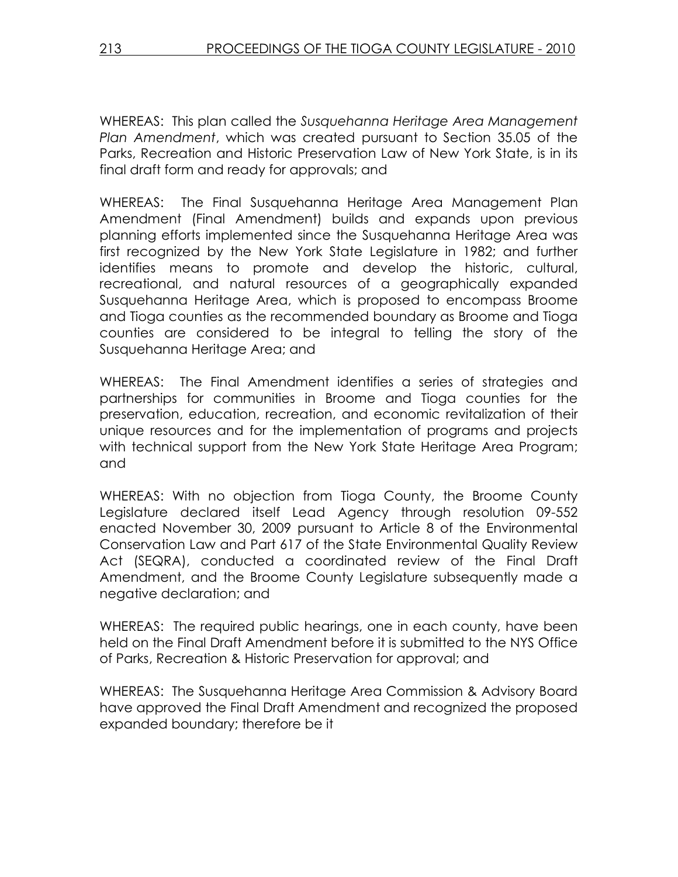WHEREAS: This plan called the Susquehanna Heritage Area Management Plan Amendment, which was created pursuant to Section 35.05 of the Parks, Recreation and Historic Preservation Law of New York State, is in its final draft form and ready for approvals; and

WHEREAS: The Final Susquehanna Heritage Area Management Plan Amendment (Final Amendment) builds and expands upon previous planning efforts implemented since the Susquehanna Heritage Area was first recognized by the New York State Legislature in 1982; and further identifies means to promote and develop the historic, cultural, recreational, and natural resources of a geographically expanded Susquehanna Heritage Area, which is proposed to encompass Broome and Tioga counties as the recommended boundary as Broome and Tioga counties are considered to be integral to telling the story of the Susquehanna Heritage Area; and

WHEREAS: The Final Amendment identifies a series of strategies and partnerships for communities in Broome and Tioga counties for the preservation, education, recreation, and economic revitalization of their unique resources and for the implementation of programs and projects with technical support from the New York State Heritage Area Program; and

WHEREAS: With no objection from Tioga County, the Broome County Legislature declared itself Lead Agency through resolution 09-552 enacted November 30, 2009 pursuant to Article 8 of the Environmental Conservation Law and Part 617 of the State Environmental Quality Review Act (SEQRA), conducted a coordinated review of the Final Draft Amendment, and the Broome County Legislature subsequently made a negative declaration; and

WHEREAS: The required public hearings, one in each county, have been held on the Final Draft Amendment before it is submitted to the NYS Office of Parks, Recreation & Historic Preservation for approval; and

WHEREAS: The Susquehanna Heritage Area Commission & Advisory Board have approved the Final Draft Amendment and recognized the proposed expanded boundary; therefore be it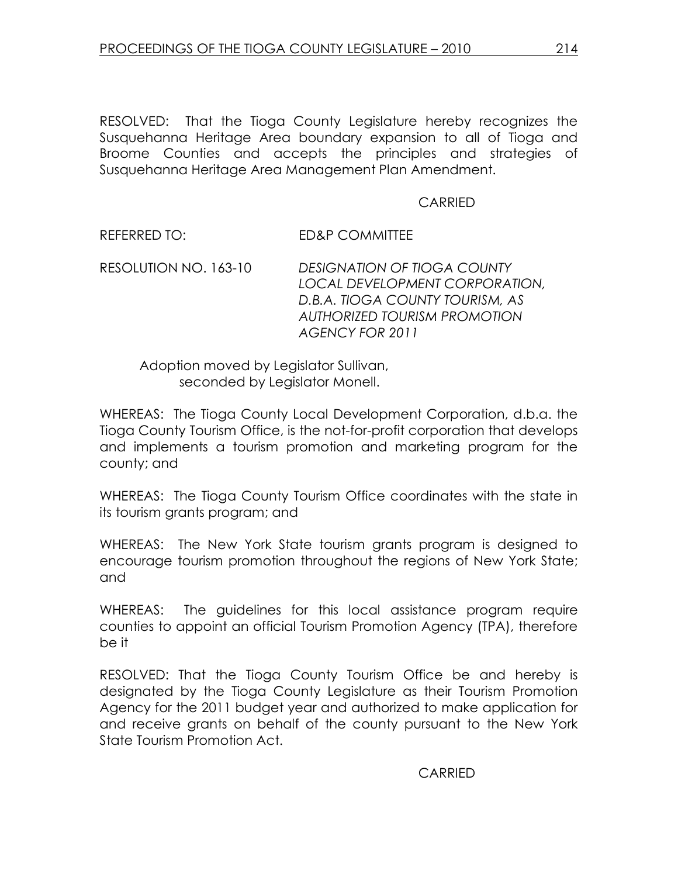RESOLVED: That the Tioga County Legislature hereby recognizes the Susquehanna Heritage Area boundary expansion to all of Tioga and Broome Counties and accepts the principles and strategies of Susquehanna Heritage Area Management Plan Amendment.

#### CARRIED

REFERRED TO: ED&P COMMITTEE

RESOLUTION NO. 163-10 DESIGNATION OF TIOGA COUNTY LOCAL DEVELOPMENT CORPORATION, D.B.A. TIOGA COUNTY TOURISM, AS AUTHORIZED TOURISM PROMOTION AGENCY FOR 2011

 Adoption moved by Legislator Sullivan, seconded by Legislator Monell.

WHEREAS: The Tioga County Local Development Corporation, d.b.a. the Tioga County Tourism Office, is the not-for-profit corporation that develops and implements a tourism promotion and marketing program for the county; and

WHEREAS: The Tioga County Tourism Office coordinates with the state in its tourism grants program; and

WHEREAS: The New York State tourism grants program is designed to encourage tourism promotion throughout the regions of New York State; and

WHEREAS: The guidelines for this local assistance program require counties to appoint an official Tourism Promotion Agency (TPA), therefore be it

RESOLVED: That the Tioga County Tourism Office be and hereby is designated by the Tioga County Legislature as their Tourism Promotion Agency for the 2011 budget year and authorized to make application for and receive grants on behalf of the county pursuant to the New York State Tourism Promotion Act.

CARRIED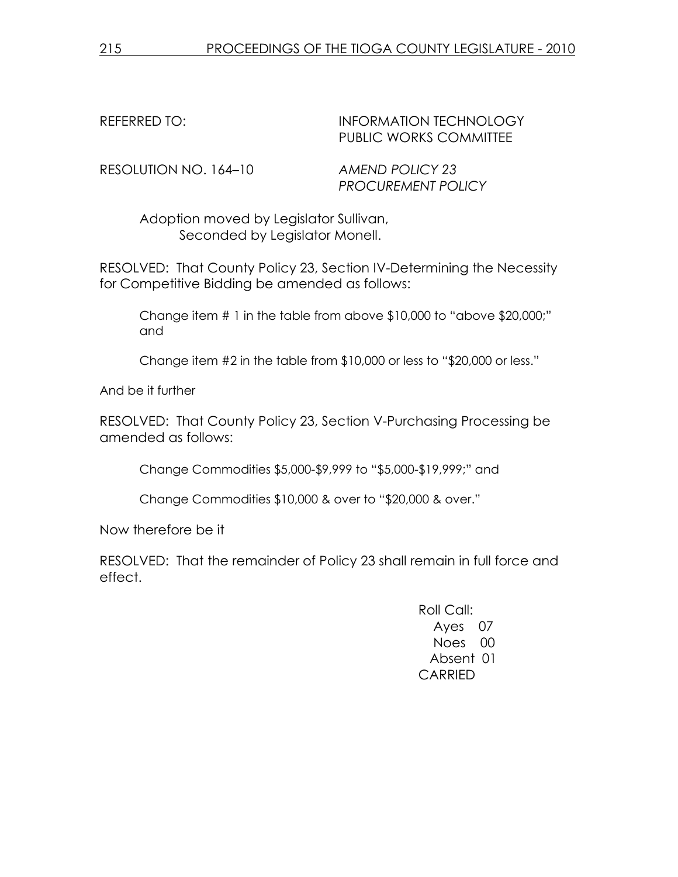### REFERRED TO: INFORMATION TECHNOLOGY PUBLIC WORKS COMMITTEE

RESOLUTION NO. 164–10 AMEND POLICY 23

PROCUREMENT POLICY

 Adoption moved by Legislator Sullivan, Seconded by Legislator Monell.

RESOLVED: That County Policy 23, Section IV-Determining the Necessity for Competitive Bidding be amended as follows:

Change item # 1 in the table from above \$10,000 to "above \$20,000;" and

Change item #2 in the table from \$10,000 or less to "\$20,000 or less."

And be it further

RESOLVED: That County Policy 23, Section V-Purchasing Processing be amended as follows:

Change Commodities \$5,000-\$9,999 to "\$5,000-\$19,999;" and

Change Commodities \$10,000 & over to "\$20,000 & over."

Now therefore be it

RESOLVED: That the remainder of Policy 23 shall remain in full force and effect.

> Roll Call: Ayes 07 Noes 00 Absent 01 CARRIED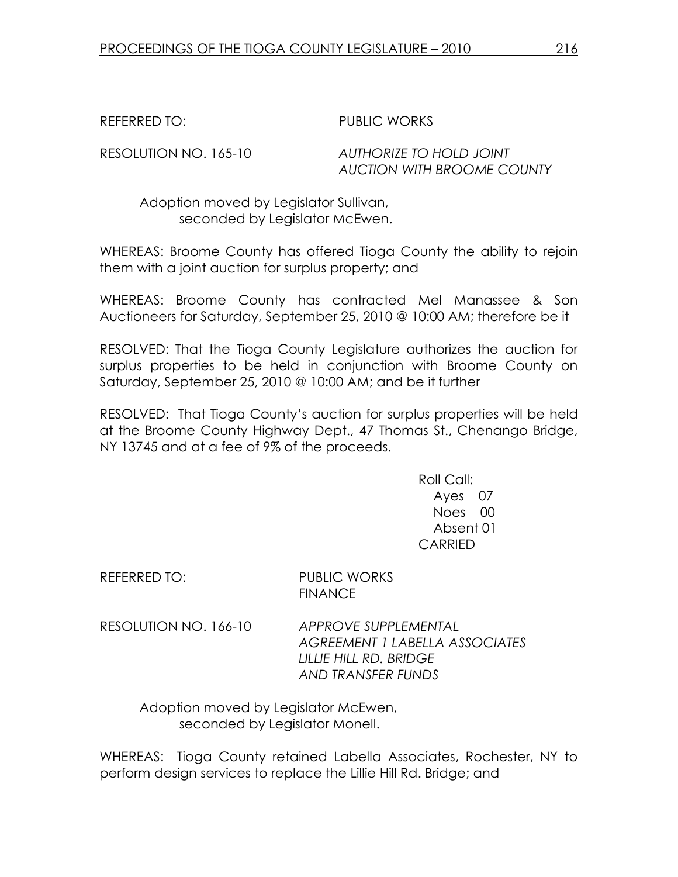REFERRED TO: PUBLIC WORKS

RESOLUTION NO. 165-10 AUTHORIZE TO HOLD JOINT AUCTION WITH BROOME COUNTY

 Adoption moved by Legislator Sullivan, seconded by Legislator McEwen.

WHEREAS: Broome County has offered Tioga County the ability to rejoin them with a joint auction for surplus property; and

WHEREAS: Broome County has contracted Mel Manassee & Son Auctioneers for Saturday, September 25, 2010 @ 10:00 AM; therefore be it

RESOLVED: That the Tioga County Legislature authorizes the auction for surplus properties to be held in conjunction with Broome County on Saturday, September 25, 2010 @ 10:00 AM; and be it further

RESOLVED: That Tioga County's auction for surplus properties will be held at the Broome County Highway Dept., 47 Thomas St., Chenango Bridge, NY 13745 and at a fee of 9% of the proceeds.

> Roll Call: Ayes 07 Noes 00 Absent 01 CARRIED

REFERRED TO: PUBLIC WORKS

**FINANCE** 

RESOLUTION NO. 166-10 APPROVE SUPPLEMENTAL AGREEMENT 1 LABELLA ASSOCIATES LILLIE HILL RD. BRIDGE AND TRANSFER FUNDS

 Adoption moved by Legislator McEwen, seconded by Legislator Monell.

WHEREAS: Tioga County retained Labella Associates, Rochester, NY to perform design services to replace the Lillie Hill Rd. Bridge; and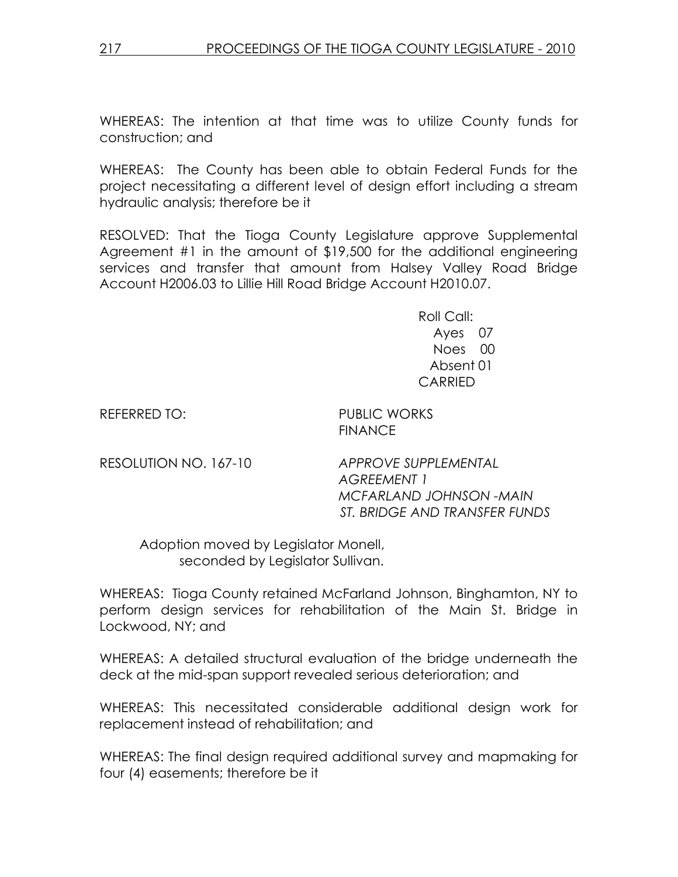WHEREAS: The intention at that time was to utilize County funds for construction; and

WHEREAS: The County has been able to obtain Federal Funds for the project necessitating a different level of design effort including a stream hydraulic analysis; therefore be it

RESOLVED: That the Tioga County Legislature approve Supplemental Agreement #1 in the amount of \$19,500 for the additional engineering services and transfer that amount from Halsey Valley Road Bridge Account H2006.03 to Lillie Hill Road Bridge Account H2010.07.

> Roll Call: Ayes 07 Noes 00 Absent 01 CARRIED

REFERRED TO: PUBLIC WORKS FINANCE

RESOLUTION NO. 167-10 APPROVE SUPPLEMENTAL AGREEMENT 1 MCFARLAND JOHNSON -MAIN ST. BRIDGE AND TRANSFER FUNDS

 Adoption moved by Legislator Monell, seconded by Legislator Sullivan.

WHEREAS: Tioga County retained McFarland Johnson, Binghamton, NY to perform design services for rehabilitation of the Main St. Bridge in Lockwood, NY; and

WHEREAS: A detailed structural evaluation of the bridge underneath the deck at the mid-span support revealed serious deterioration; and

WHEREAS: This necessitated considerable additional design work for replacement instead of rehabilitation; and

WHEREAS: The final design required additional survey and mapmaking for four (4) easements; therefore be it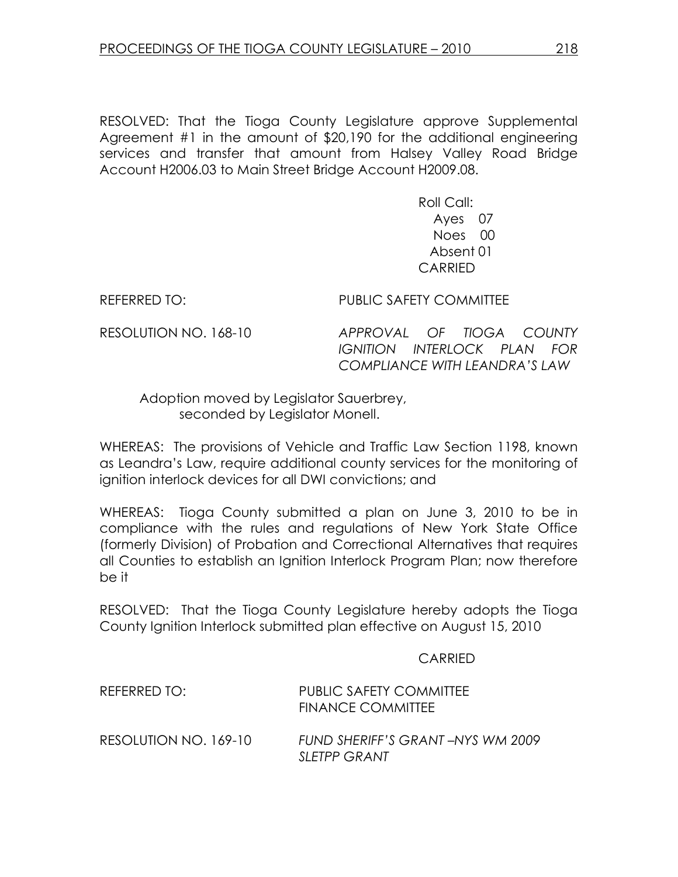RESOLVED: That the Tioga County Legislature approve Supplemental Agreement #1 in the amount of \$20,190 for the additional engineering services and transfer that amount from Halsey Valley Road Bridge Account H2006.03 to Main Street Bridge Account H2009.08.

> Roll Call: Ayes 07 Noes 00 Absent 01 CARRIED

REFERRED TO: PUBLIC SAFETY COMMITTEE

RESOLUTION NO. 168-10 APPROVAL OF TIOGA COUNTY IGNITION INTERLOCK PLAN FOR COMPLIANCE WITH LEANDRA'S LAW

 Adoption moved by Legislator Sauerbrey, seconded by Legislator Monell.

WHEREAS: The provisions of Vehicle and Traffic Law Section 1198, known as Leandra's Law, require additional county services for the monitoring of ignition interlock devices for all DWI convictions; and

WHEREAS: Tioga County submitted a plan on June 3, 2010 to be in compliance with the rules and regulations of New York State Office (formerly Division) of Probation and Correctional Alternatives that requires all Counties to establish an Ignition Interlock Program Plan; now therefore be it

RESOLVED: That the Tioga County Legislature hereby adopts the Tioga County Ignition Interlock submitted plan effective on August 15, 2010

**CARRIED** 

| REFERRED TO:          | PUBLIC SAFETY COMMITTEE<br><b>FINANCE COMMITTEE</b>     |
|-----------------------|---------------------------------------------------------|
| RESOLUTION NO. 169-10 | FUND SHERIFF'S GRANT-NYS WM 2009<br><b>SLETPP GRANT</b> |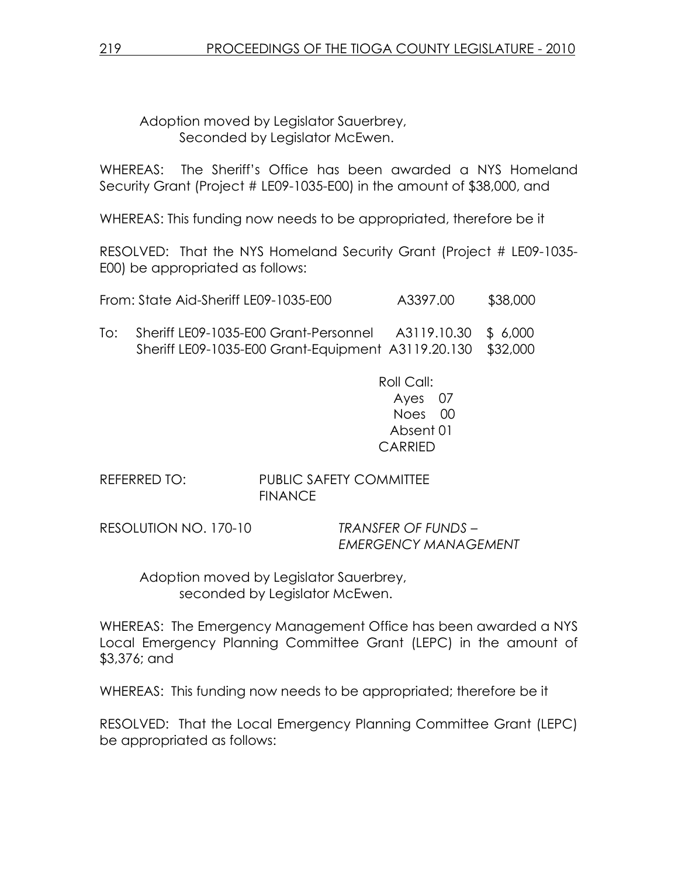Adoption moved by Legislator Sauerbrey, Seconded by Legislator McEwen.

WHEREAS: The Sheriff's Office has been awarded a NYS Homeland Security Grant (Project # LE09-1035-E00) in the amount of \$38,000, and

WHEREAS: This funding now needs to be appropriated, therefore be it

RESOLVED: That the NYS Homeland Security Grant (Project # LE09-1035- E00) be appropriated as follows:

|  | From: State Aid-Sheriff LE09-1035-E00 | A3397.00 | \$38,000 |
|--|---------------------------------------|----------|----------|
|  |                                       |          |          |

To: Sheriff LE09-1035-E00 Grant-Personnel A3119.10.30 \$ 6,000 Sheriff LE09-1035-E00 Grant-Equipment A3119.20.130 \$32,000

> Roll Call: Ayes 07 Noes 00 Absent 01 CARRIED

REFERRED TO: PUBLIC SAFETY COMMITTEE FINANCE

RESOLUTION NO. 170-10 TRANSFER OF FUNDS –

EMERGENCY MANAGEMENT

 Adoption moved by Legislator Sauerbrey, seconded by Legislator McEwen.

WHEREAS: The Emergency Management Office has been awarded a NYS Local Emergency Planning Committee Grant (LEPC) in the amount of \$3,376; and

WHEREAS: This funding now needs to be appropriated; therefore be it

RESOLVED: That the Local Emergency Planning Committee Grant (LEPC) be appropriated as follows: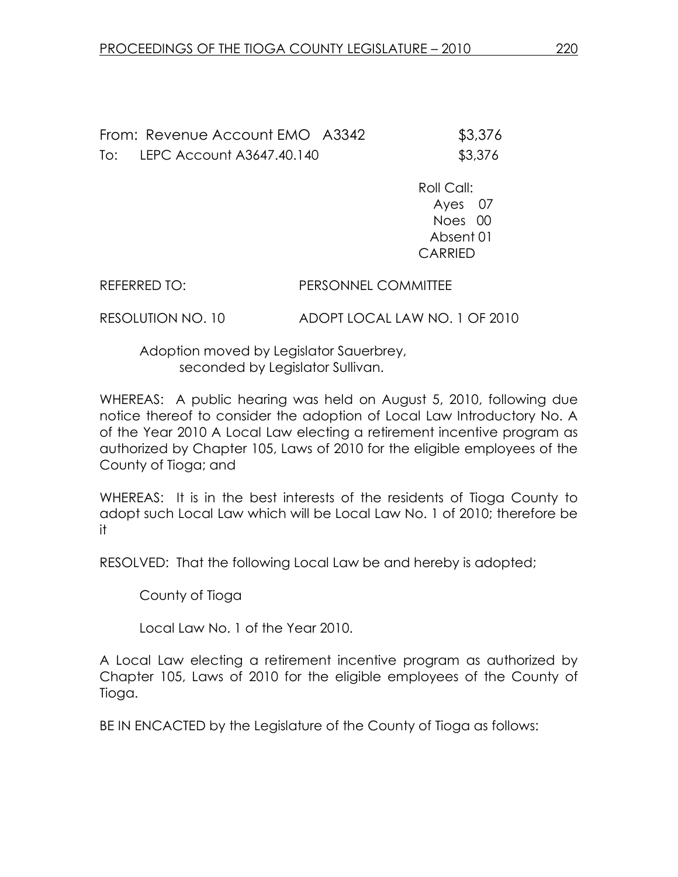From: Revenue Account EMO A3342 \$3,376 To: LEPC Account A3647.40.140 \$3,376

> Roll Call: Ayes 07 Noes 00 Absent 01 CARRIED

REFERRED TO: PERSONNEL COMMITTEE

RESOLUTION NO. 10 ADOPT LOCAL LAW NO. 1 OF 2010

 Adoption moved by Legislator Sauerbrey, seconded by Legislator Sullivan.

WHEREAS: A public hearing was held on August 5, 2010, following due notice thereof to consider the adoption of Local Law Introductory No. A of the Year 2010 A Local Law electing a retirement incentive program as authorized by Chapter 105, Laws of 2010 for the eligible employees of the County of Tioga; and

WHEREAS: It is in the best interests of the residents of Tioga County to adopt such Local Law which will be Local Law No. 1 of 2010; therefore be it

RESOLVED: That the following Local Law be and hereby is adopted;

County of Tioga

Local Law No. 1 of the Year 2010.

A Local Law electing a retirement incentive program as authorized by Chapter 105, Laws of 2010 for the eligible employees of the County of Tioga.

BE IN ENCACTED by the Legislature of the County of Tioga as follows: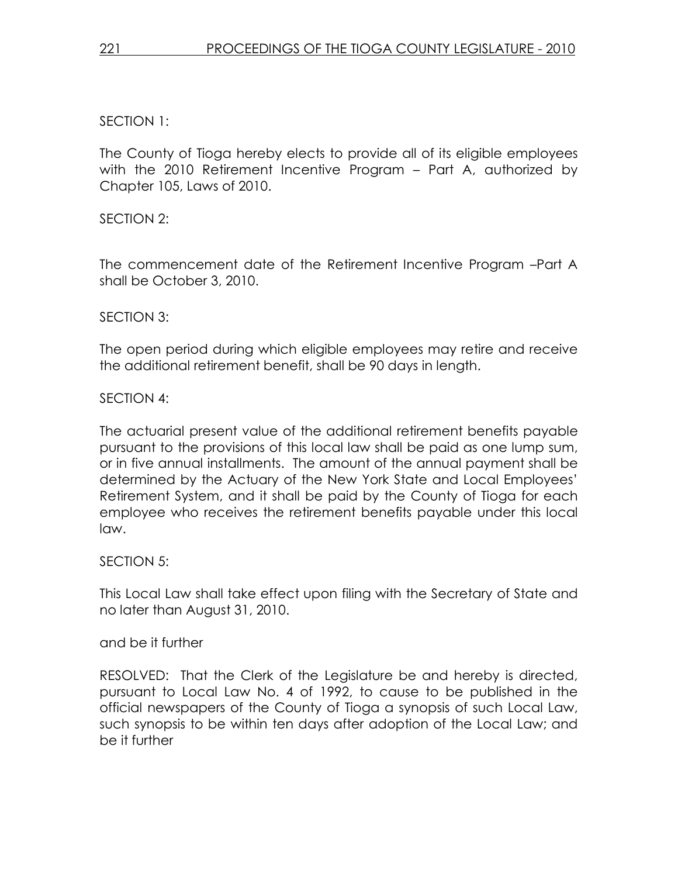## SECTION 1:

The County of Tioga hereby elects to provide all of its eligible employees with the 2010 Retirement Incentive Program – Part A, authorized by Chapter 105, Laws of 2010.

### SECTION 2:

The commencement date of the Retirement Incentive Program –Part A shall be October 3, 2010.

### SECTION 3:

The open period during which eligible employees may retire and receive the additional retirement benefit, shall be 90 days in length.

### SECTION 4:

The actuarial present value of the additional retirement benefits payable pursuant to the provisions of this local law shall be paid as one lump sum, or in five annual installments. The amount of the annual payment shall be determined by the Actuary of the New York State and Local Employees' Retirement System, and it shall be paid by the County of Tioga for each employee who receives the retirement benefits payable under this local law.

### SECTION 5:

This Local Law shall take effect upon filing with the Secretary of State and no later than August 31, 2010.

#### and be it further

RESOLVED: That the Clerk of the Legislature be and hereby is directed, pursuant to Local Law No. 4 of 1992, to cause to be published in the official newspapers of the County of Tioga a synopsis of such Local Law, such synopsis to be within ten days after adoption of the Local Law; and be it further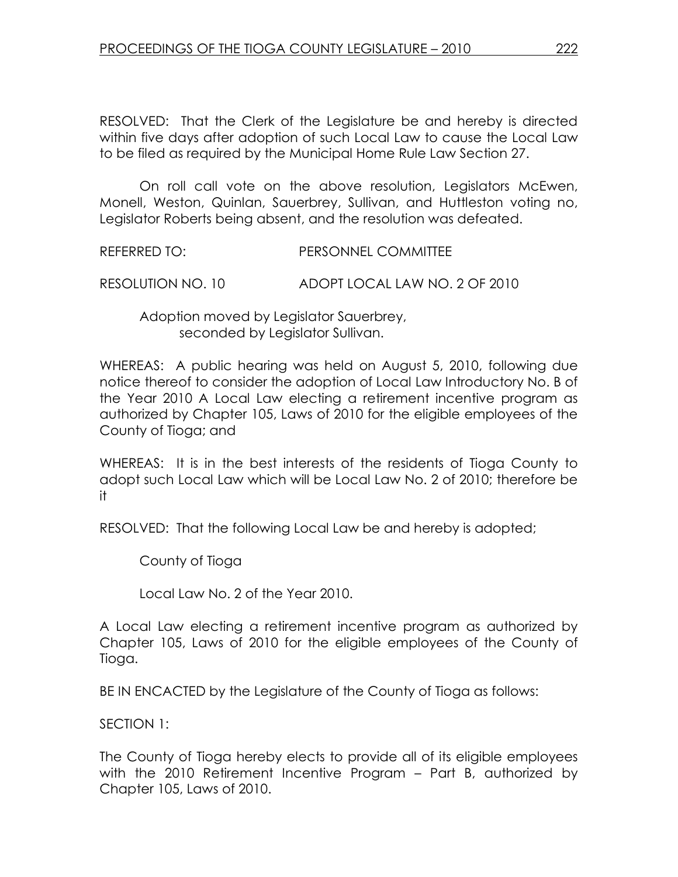RESOLVED: That the Clerk of the Legislature be and hereby is directed within five days after adoption of such Local Law to cause the Local Law to be filed as required by the Municipal Home Rule Law Section 27.

 On roll call vote on the above resolution, Legislators McEwen, Monell, Weston, Quinlan, Sauerbrey, Sullivan, and Huttleston voting no, Legislator Roberts being absent, and the resolution was defeated.

REFERRED TO: PERSONNEL COMMITTEE

RESOLUTION NO. 10 ADOPT LOCAL LAW NO. 2 OF 2010

 Adoption moved by Legislator Sauerbrey, seconded by Legislator Sullivan.

WHEREAS: A public hearing was held on August 5, 2010, following due notice thereof to consider the adoption of Local Law Introductory No. B of the Year 2010 A Local Law electing a retirement incentive program as authorized by Chapter 105, Laws of 2010 for the eligible employees of the County of Tioga; and

WHEREAS: It is in the best interests of the residents of Tioga County to adopt such Local Law which will be Local Law No. 2 of 2010; therefore be it

RESOLVED: That the following Local Law be and hereby is adopted;

County of Tioga

Local Law No. 2 of the Year 2010.

A Local Law electing a retirement incentive program as authorized by Chapter 105, Laws of 2010 for the eligible employees of the County of Tioga.

BE IN ENCACTED by the Legislature of the County of Tioga as follows:

SECTION 1:

The County of Tioga hereby elects to provide all of its eligible employees with the 2010 Retirement Incentive Program – Part B, authorized by Chapter 105, Laws of 2010.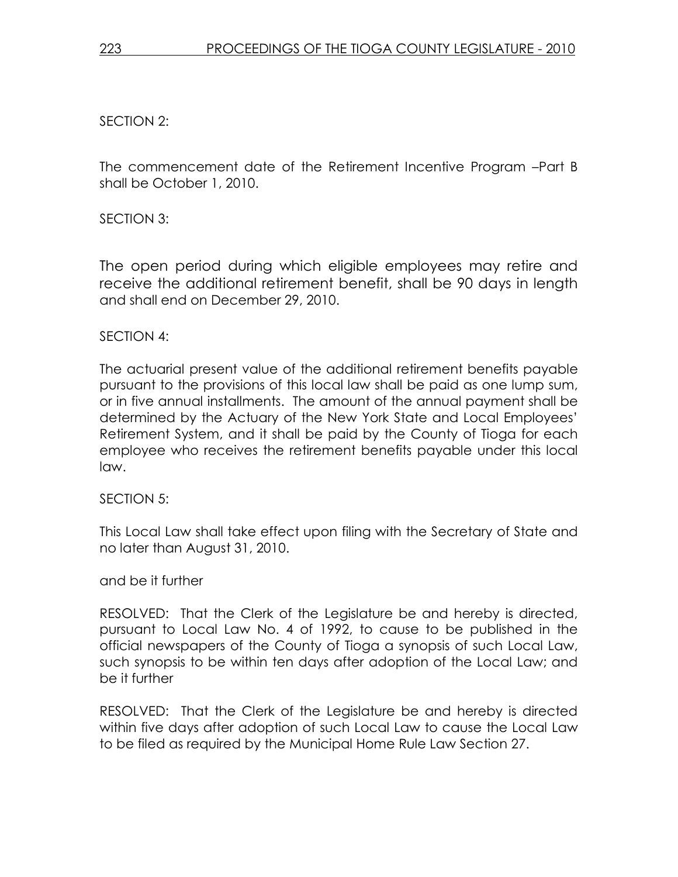### SECTION 2:

The commencement date of the Retirement Incentive Program –Part B shall be October 1, 2010.

SECTION 3:

The open period during which eligible employees may retire and receive the additional retirement benefit, shall be 90 days in length and shall end on December 29, 2010.

#### SECTION 4:

The actuarial present value of the additional retirement benefits payable pursuant to the provisions of this local law shall be paid as one lump sum, or in five annual installments. The amount of the annual payment shall be determined by the Actuary of the New York State and Local Employees' Retirement System, and it shall be paid by the County of Tioga for each employee who receives the retirement benefits payable under this local law.

#### SECTION 5:

This Local Law shall take effect upon filing with the Secretary of State and no later than August 31, 2010.

#### and be it further

RESOLVED: That the Clerk of the Legislature be and hereby is directed, pursuant to Local Law No. 4 of 1992, to cause to be published in the official newspapers of the County of Tioga a synopsis of such Local Law, such synopsis to be within ten days after adoption of the Local Law; and be it further

RESOLVED: That the Clerk of the Legislature be and hereby is directed within five days after adoption of such Local Law to cause the Local Law to be filed as required by the Municipal Home Rule Law Section 27.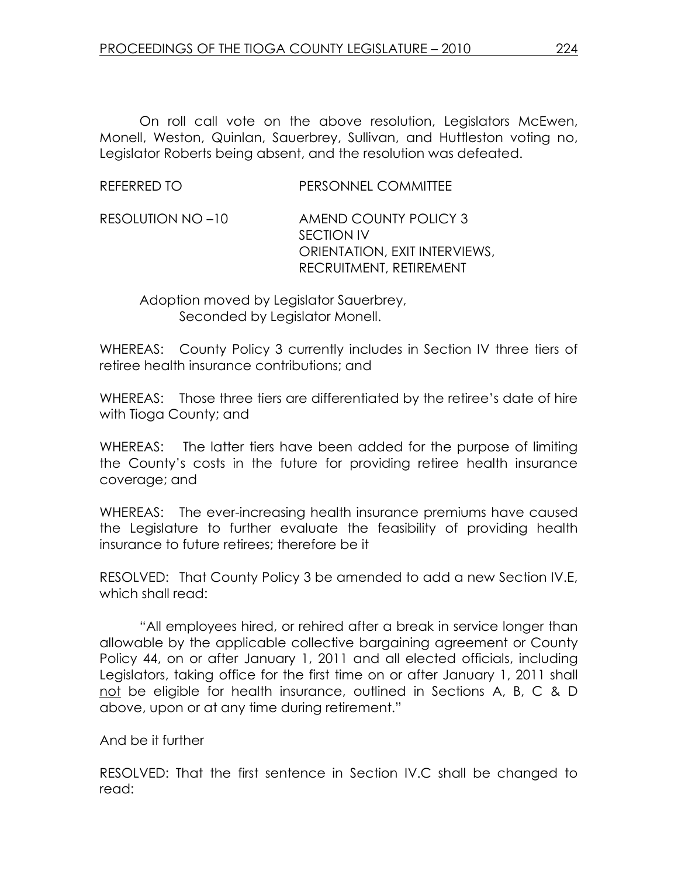On roll call vote on the above resolution, Legislators McEwen, Monell, Weston, Quinlan, Sauerbrey, Sullivan, and Huttleston voting no, Legislator Roberts being absent, and the resolution was defeated.

| RESOLUTION NO -10 | AMEND COUNTY POLICY 3         |
|-------------------|-------------------------------|
|                   | SECTION IV                    |
|                   | ORIENTATION, EXIT INTERVIEWS, |
|                   | RECRUITMENT, RETIREMENT       |
|                   |                               |

 Adoption moved by Legislator Sauerbrey, Seconded by Legislator Monell.

WHEREAS: County Policy 3 currently includes in Section IV three tiers of retiree health insurance contributions; and

WHEREAS: Those three tiers are differentiated by the retiree's date of hire with Tioga County; and

WHEREAS: The latter tiers have been added for the purpose of limiting the County's costs in the future for providing retiree health insurance coverage; and

WHEREAS: The ever-increasing health insurance premiums have caused the Legislature to further evaluate the feasibility of providing health insurance to future retirees; therefore be it

RESOLVED: That County Policy 3 be amended to add a new Section IV.E, which shall read:

 "All employees hired, or rehired after a break in service longer than allowable by the applicable collective bargaining agreement or County Policy 44, on or after January 1, 2011 and all elected officials, including Legislators, taking office for the first time on or after January 1, 2011 shall not be eligible for health insurance, outlined in Sections A, B, C & D above, upon or at any time during retirement."

And be it further

RESOLVED: That the first sentence in Section IV.C shall be changed to read: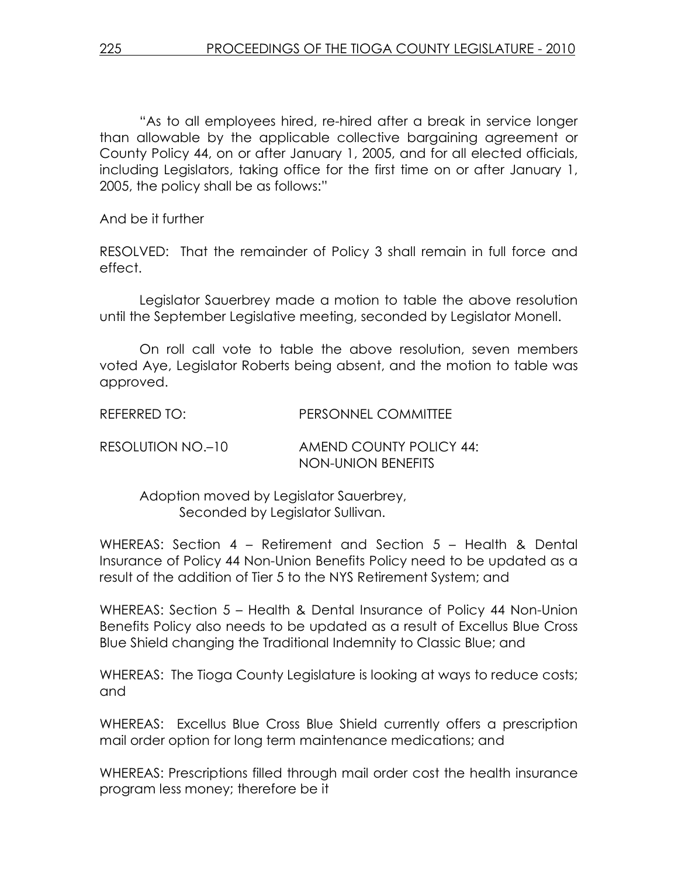"As to all employees hired, re-hired after a break in service longer than allowable by the applicable collective bargaining agreement or County Policy 44, on or after January 1, 2005, and for all elected officials, including Legislators, taking office for the first time on or after January 1, 2005, the policy shall be as follows:"

And be it further

RESOLVED: That the remainder of Policy 3 shall remain in full force and effect.

 Legislator Sauerbrey made a motion to table the above resolution until the September Legislative meeting, seconded by Legislator Monell.

 On roll call vote to table the above resolution, seven members voted Aye, Legislator Roberts being absent, and the motion to table was approved.

REFERRED TO: PERSONNEL COMMITTEE

RESOLUTION NO.–10 AMEND COUNTY POLICY 44: NON-UNION BENEFITS

 Adoption moved by Legislator Sauerbrey, Seconded by Legislator Sullivan.

WHEREAS: Section 4 – Retirement and Section 5 – Health & Dental Insurance of Policy 44 Non-Union Benefits Policy need to be updated as a result of the addition of Tier 5 to the NYS Retirement System; and

WHEREAS: Section 5 – Health & Dental Insurance of Policy 44 Non-Union Benefits Policy also needs to be updated as a result of Excellus Blue Cross Blue Shield changing the Traditional Indemnity to Classic Blue; and

WHEREAS: The Tioga County Legislature is looking at ways to reduce costs; and

WHEREAS: Excellus Blue Cross Blue Shield currently offers a prescription mail order option for long term maintenance medications; and

WHEREAS: Prescriptions filled through mail order cost the health insurance program less money; therefore be it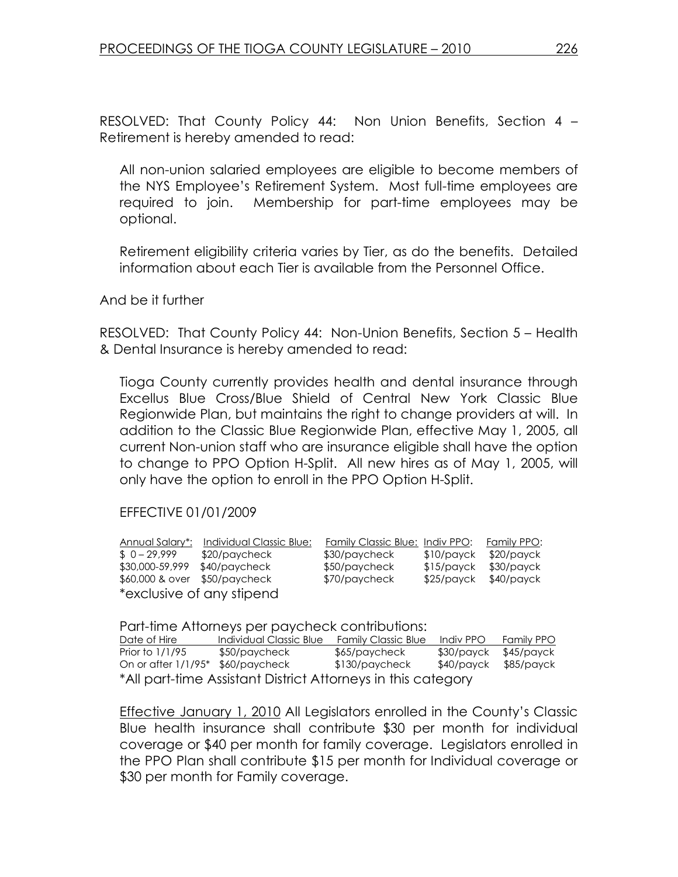RESOLVED: That County Policy 44: Non Union Benefits, Section 4 – Retirement is hereby amended to read:

All non-union salaried employees are eligible to become members of the NYS Employee's Retirement System. Most full-time employees are required to join. Membership for part-time employees may be optional.

Retirement eligibility criteria varies by Tier, as do the benefits. Detailed information about each Tier is available from the Personnel Office.

And be it further

RESOLVED: That County Policy 44: Non-Union Benefits, Section 5 – Health & Dental Insurance is hereby amended to read:

Tioga County currently provides health and dental insurance through Excellus Blue Cross/Blue Shield of Central New York Classic Blue Regionwide Plan, but maintains the right to change providers at will. In addition to the Classic Blue Regionwide Plan, effective May 1, 2005, all current Non-union staff who are insurance eligible shall have the option to change to PPO Option H-Split. All new hires as of May 1, 2005, will only have the option to enroll in the PPO Option H-Split.

### EFFECTIVE 01/01/2009

| Annual Salary*:               | Individual Classic Blue:  | Family Classic Blue: Indiv PPO: |              | Family PPO: |
|-------------------------------|---------------------------|---------------------------------|--------------|-------------|
| $$0-29.999$                   | \$20/paycheck             | \$30/paycheck                   | \$10/payck   | \$20/payck  |
| \$30,000-59,999               | \$40/paycheck             | \$50/paycheck                   | $$15$ /payck | \$30/payck  |
| \$60,000 & over \$50/paycheck |                           | \$70/paycheck                   | \$25/payck   | \$40/payck  |
|                               | *exclusive of any stipend |                                 |              |             |

Part-time Attorneys per paycheck contributions:

| Date of Hire                                                 | Individual Classic Blue | <b>Family Classic Blue</b> | Indiv PPO  | Family PPO |
|--------------------------------------------------------------|-------------------------|----------------------------|------------|------------|
| Prior to 1/1/95                                              | \$50/paycheck           | \$65/paycheck              | \$30/payck | \$45/payck |
| On or after 1/1/95* \$60/paycheck                            |                         | \$130/paycheck             | \$40/payck | \$85/payck |
| *All part-time Assistant District Attorneys in this category |                         |                            |            |            |

Effective January 1, 2010 All Legislators enrolled in the County's Classic Blue health insurance shall contribute \$30 per month for individual coverage or \$40 per month for family coverage. Legislators enrolled in the PPO Plan shall contribute \$15 per month for Individual coverage or \$30 per month for Family coverage.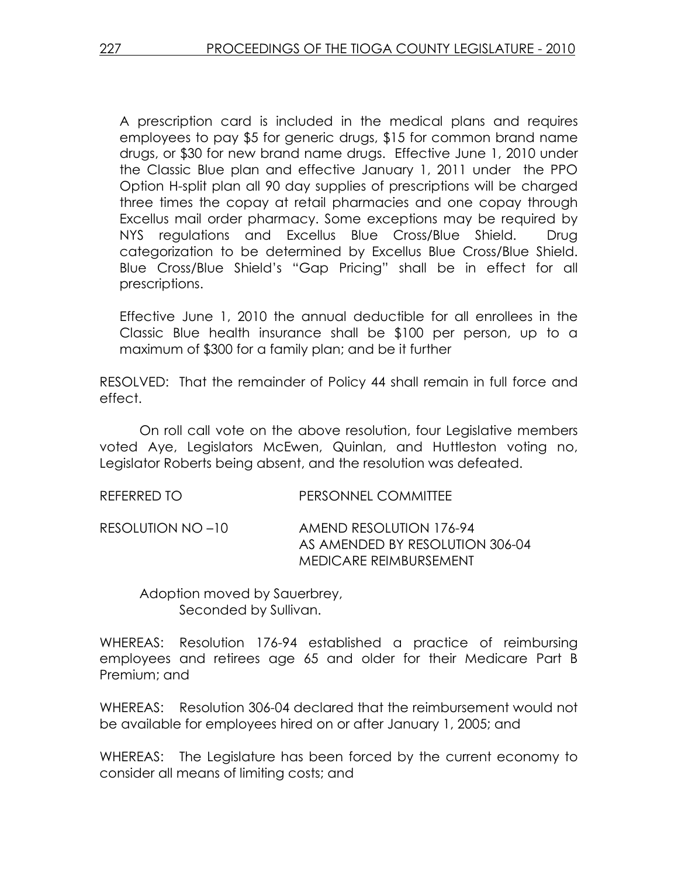A prescription card is included in the medical plans and requires employees to pay \$5 for generic drugs, \$15 for common brand name drugs, or \$30 for new brand name drugs. Effective June 1, 2010 under the Classic Blue plan and effective January 1, 2011 under the PPO Option H-split plan all 90 day supplies of prescriptions will be charged three times the copay at retail pharmacies and one copay through Excellus mail order pharmacy. Some exceptions may be required by NYS regulations and Excellus Blue Cross/Blue Shield. Drug categorization to be determined by Excellus Blue Cross/Blue Shield. Blue Cross/Blue Shield's "Gap Pricing" shall be in effect for all prescriptions.

Effective June 1, 2010 the annual deductible for all enrollees in the Classic Blue health insurance shall be \$100 per person, up to a maximum of \$300 for a family plan; and be it further

RESOLVED: That the remainder of Policy 44 shall remain in full force and effect.

 On roll call vote on the above resolution, four Legislative members voted Aye, Legislators McEwen, Quinlan, and Huttleston voting no, Legislator Roberts being absent, and the resolution was defeated.

REFERRED TO PERSONNEL COMMITTEE

RESOLUTION NO –10 AMEND RESOLUTION 176-94 AS AMENDED BY RESOLUTION 306-04 MEDICARE REIMBURSEMENT

 Adoption moved by Sauerbrey, Seconded by Sullivan.

WHEREAS: Resolution 176-94 established a practice of reimbursing employees and retirees age 65 and older for their Medicare Part B Premium; and

WHEREAS: Resolution 306-04 declared that the reimbursement would not be available for employees hired on or after January 1, 2005; and

WHEREAS: The Legislature has been forced by the current economy to consider all means of limiting costs; and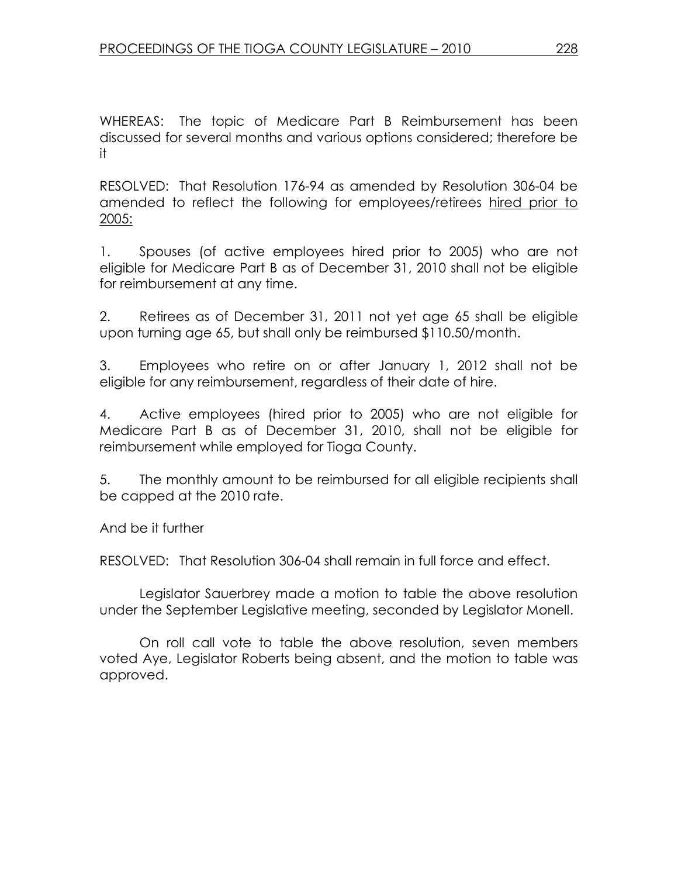WHEREAS: The topic of Medicare Part B Reimbursement has been discussed for several months and various options considered; therefore be it

RESOLVED: That Resolution 176-94 as amended by Resolution 306-04 be amended to reflect the following for employees/retirees hired prior to 2005:

1. Spouses (of active employees hired prior to 2005) who are not eligible for Medicare Part B as of December 31, 2010 shall not be eligible for reimbursement at any time.

2. Retirees as of December 31, 2011 not yet age 65 shall be eligible upon turning age 65, but shall only be reimbursed \$110.50/month.

3. Employees who retire on or after January 1, 2012 shall not be eligible for any reimbursement, regardless of their date of hire.

4. Active employees (hired prior to 2005) who are not eligible for Medicare Part B as of December 31, 2010, shall not be eligible for reimbursement while employed for Tioga County.

5. The monthly amount to be reimbursed for all eligible recipients shall be capped at the 2010 rate.

And be it further

RESOLVED: That Resolution 306-04 shall remain in full force and effect.

 Legislator Sauerbrey made a motion to table the above resolution under the September Legislative meeting, seconded by Legislator Monell.

 On roll call vote to table the above resolution, seven members voted Aye, Legislator Roberts being absent, and the motion to table was approved.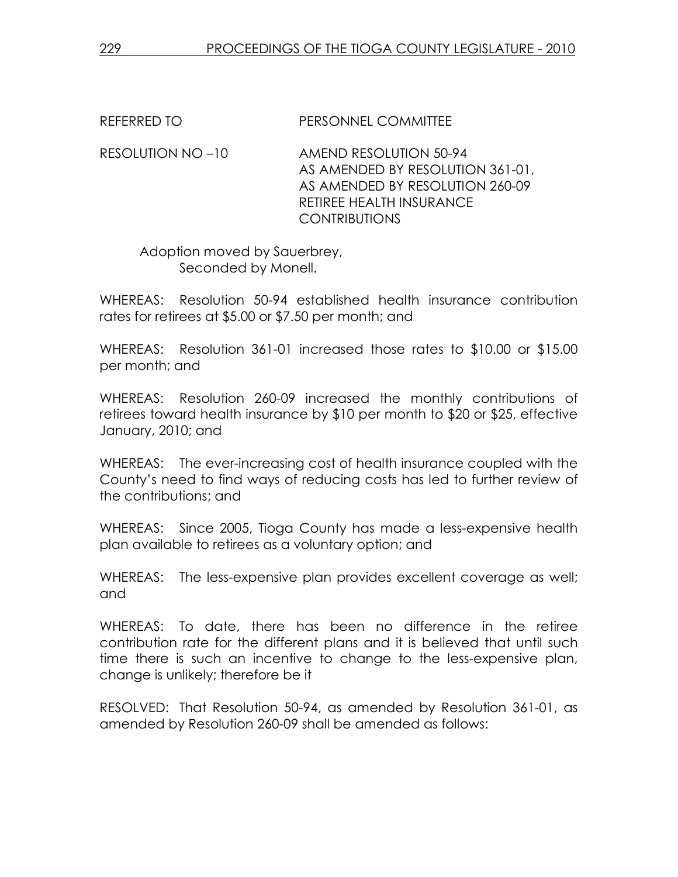REFERRED TO PERSONNEL COMMITTEE

RESOLUTION NO –10 AMEND RESOLUTION 50-94 AS AMENDED BY RESOLUTION 361-01, AS AMENDED BY RESOLUTION 260-09 RETIREE HEALTH INSURANCE CONTRIBUTIONS

 Adoption moved by Sauerbrey, Seconded by Monell.

WHEREAS: Resolution 50-94 established health insurance contribution rates for retirees at \$5.00 or \$7.50 per month; and

WHEREAS: Resolution 361-01 increased those rates to \$10.00 or \$15.00 per month; and

WHEREAS: Resolution 260-09 increased the monthly contributions of retirees toward health insurance by \$10 per month to \$20 or \$25, effective January, 2010; and

WHEREAS: The ever-increasing cost of health insurance coupled with the County's need to find ways of reducing costs has led to further review of the contributions; and

WHEREAS: Since 2005, Tioga County has made a less-expensive health plan available to retirees as a voluntary option; and

WHEREAS: The less-expensive plan provides excellent coverage as well; and

WHEREAS: To date, there has been no difference in the retiree contribution rate for the different plans and it is believed that until such time there is such an incentive to change to the less-expensive plan, change is unlikely; therefore be it

RESOLVED: That Resolution 50-94, as amended by Resolution 361-01, as amended by Resolution 260-09 shall be amended as follows: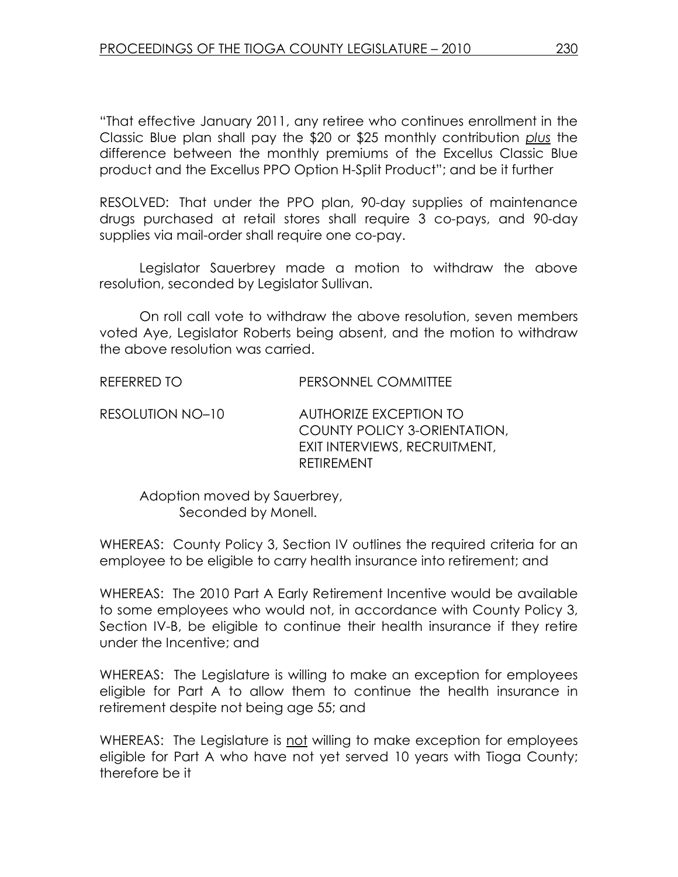"That effective January 2011, any retiree who continues enrollment in the Classic Blue plan shall pay the \$20 or \$25 monthly contribution plus the difference between the monthly premiums of the Excellus Classic Blue product and the Excellus PPO Option H-Split Product"; and be it further

RESOLVED: That under the PPO plan, 90-day supplies of maintenance drugs purchased at retail stores shall require 3 co-pays, and 90-day supplies via mail-order shall require one co-pay.

 Legislator Sauerbrey made a motion to withdraw the above resolution, seconded by Legislator Sullivan.

 On roll call vote to withdraw the above resolution, seven members voted Aye, Legislator Roberts being absent, and the motion to withdraw the above resolution was carried.

REFERRED TO PERSONNEL COMMITTEE

RESOLUTION NO–10 AUTHORIZE EXCEPTION TO COUNTY POLICY 3-ORIENTATION, EXIT INTERVIEWS, RECRUITMENT, RETIREMENT

 Adoption moved by Sauerbrey, Seconded by Monell.

WHEREAS: County Policy 3, Section IV outlines the required criteria for an employee to be eligible to carry health insurance into retirement; and

WHEREAS: The 2010 Part A Early Retirement Incentive would be available to some employees who would not, in accordance with County Policy 3, Section IV-B, be eligible to continue their health insurance if they retire under the Incentive; and

WHEREAS: The Legislature is willing to make an exception for employees eligible for Part A to allow them to continue the health insurance in retirement despite not being age 55; and

WHEREAS: The Legislature is not willing to make exception for employees eligible for Part A who have not yet served 10 years with Tioga County; therefore be it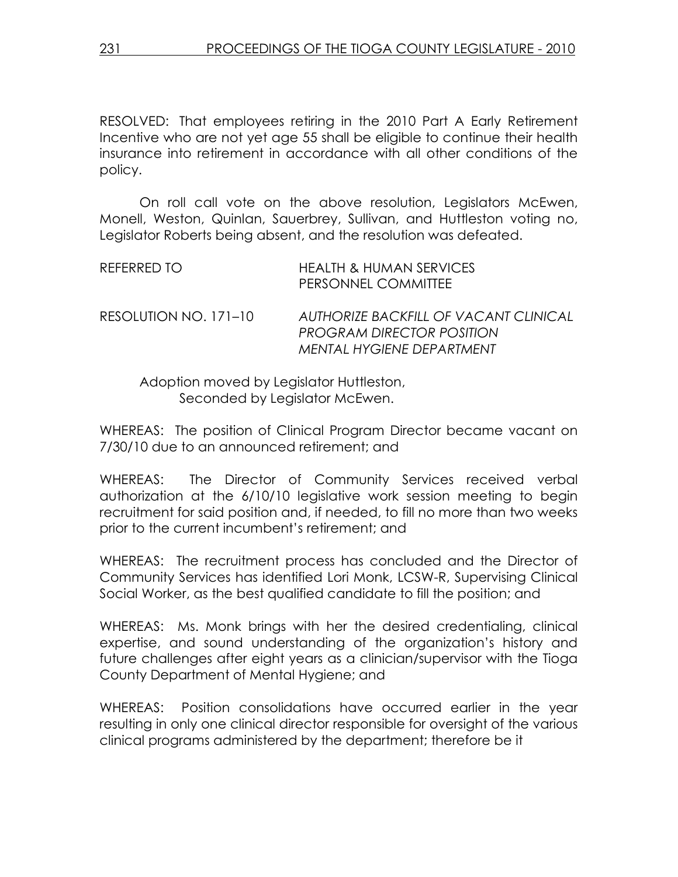RESOLVED: That employees retiring in the 2010 Part A Early Retirement Incentive who are not yet age 55 shall be eligible to continue their health insurance into retirement in accordance with all other conditions of the policy.

 On roll call vote on the above resolution, Legislators McEwen, Monell, Weston, Quinlan, Sauerbrey, Sullivan, and Huttleston voting no, Legislator Roberts being absent, and the resolution was defeated.

| REFERRED TO           | <b>HEALTH &amp; HUMAN SERVICES</b><br>PERSONNEL COMMITTEE                                              |
|-----------------------|--------------------------------------------------------------------------------------------------------|
| RESOLUTION NO. 171–10 | AUTHORIZE BACKFILL OF VACANT CLINICAL<br><b>PROGRAM DIRECTOR POSITION</b><br>MENTAL HYGIENE DEPARTMENT |

 Adoption moved by Legislator Huttleston, Seconded by Legislator McEwen.

WHEREAS: The position of Clinical Program Director became vacant on 7/30/10 due to an announced retirement; and

WHEREAS: The Director of Community Services received verbal authorization at the 6/10/10 legislative work session meeting to begin recruitment for said position and, if needed, to fill no more than two weeks prior to the current incumbent's retirement; and

WHEREAS: The recruitment process has concluded and the Director of Community Services has identified Lori Monk, LCSW-R, Supervising Clinical Social Worker, as the best qualified candidate to fill the position; and

WHEREAS: Ms. Monk brings with her the desired credentialing, clinical expertise, and sound understanding of the organization's history and future challenges after eight years as a clinician/supervisor with the Tioga County Department of Mental Hygiene; and

WHEREAS: Position consolidations have occurred earlier in the year resulting in only one clinical director responsible for oversight of the various clinical programs administered by the department; therefore be it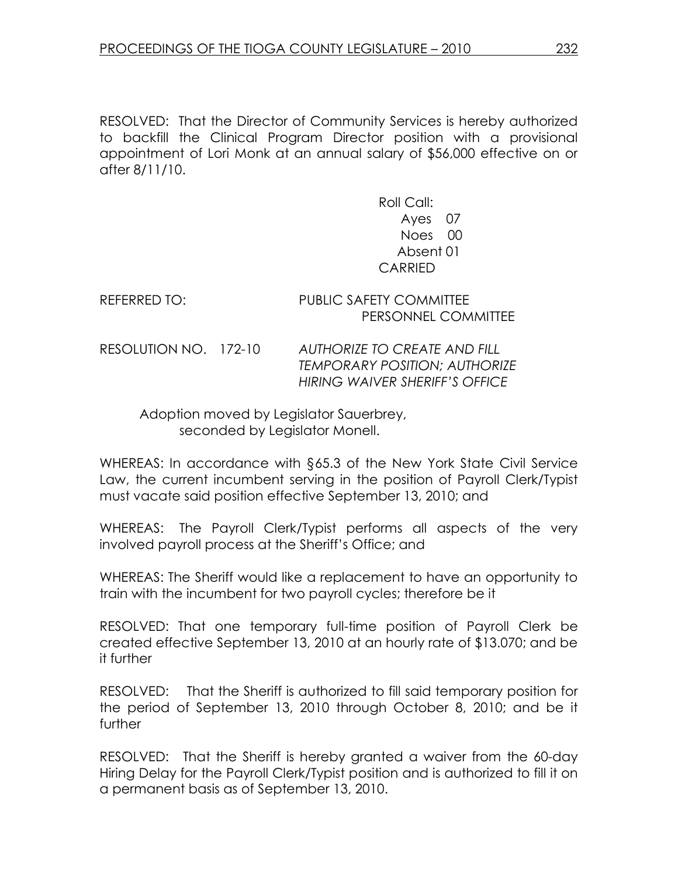RESOLVED: That the Director of Community Services is hereby authorized to backfill the Clinical Program Director position with a provisional appointment of Lori Monk at an annual salary of \$56,000 effective on or after 8/11/10.

> Roll Call: Ayes 07 Noes 00 Absent 01 CARRIED

REFERRED TO: PUBLIC SAFETY COMMITTEE PERSONNEL COMMITTEE

RESOLUTION NO. 172-10 AUTHORIZE TO CREATE AND FILL TEMPORARY POSITION; AUTHORIZE HIRING WAIVER SHERIFF'S OFFICE

 Adoption moved by Legislator Sauerbrey, seconded by Legislator Monell.

WHEREAS: In accordance with §65.3 of the New York State Civil Service Law, the current incumbent serving in the position of Payroll Clerk/Typist must vacate said position effective September 13, 2010; and

WHEREAS: The Payroll Clerk/Typist performs all aspects of the very involved payroll process at the Sheriff's Office; and

WHEREAS: The Sheriff would like a replacement to have an opportunity to train with the incumbent for two payroll cycles; therefore be it

RESOLVED: That one temporary full-time position of Payroll Clerk be created effective September 13, 2010 at an hourly rate of \$13.070; and be it further

RESOLVED: That the Sheriff is authorized to fill said temporary position for the period of September 13, 2010 through October 8, 2010; and be it further

RESOLVED: That the Sheriff is hereby granted a waiver from the 60-day Hiring Delay for the Payroll Clerk/Typist position and is authorized to fill it on a permanent basis as of September 13, 2010.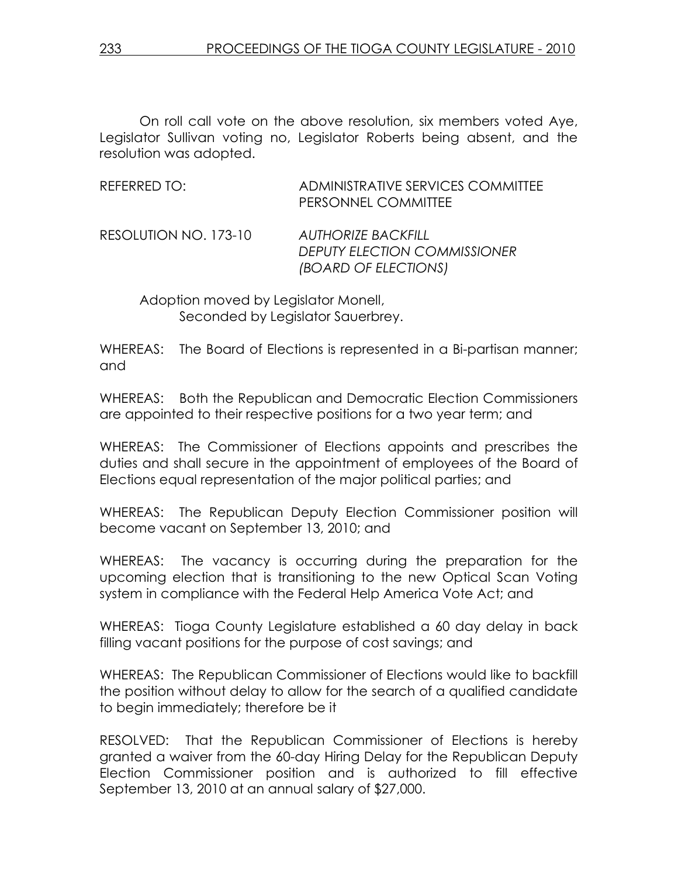On roll call vote on the above resolution, six members voted Aye, Legislator Sullivan voting no, Legislator Roberts being absent, and the resolution was adopted.

| REFERRED TO:          | ADMINISTRATIVE SERVICES COMMITTEE<br>PERSONNEL COMMITTEE                                 |
|-----------------------|------------------------------------------------------------------------------------------|
| RESOLUTION NO. 173-10 | <b>AUTHORIZE BACKFILL</b><br><b>DEPUTY ELECTION COMMISSIONER</b><br>(BOARD OF ELECTIONS) |

 Adoption moved by Legislator Monell, Seconded by Legislator Sauerbrey.

WHEREAS: The Board of Elections is represented in a Bi-partisan manner; and

WHEREAS: Both the Republican and Democratic Election Commissioners are appointed to their respective positions for a two year term; and

WHEREAS: The Commissioner of Elections appoints and prescribes the duties and shall secure in the appointment of employees of the Board of Elections equal representation of the major political parties; and

WHEREAS: The Republican Deputy Election Commissioner position will become vacant on September 13, 2010; and

WHEREAS: The vacancy is occurring during the preparation for the upcoming election that is transitioning to the new Optical Scan Voting system in compliance with the Federal Help America Vote Act; and

WHEREAS: Tioga County Legislature established a 60 day delay in back filling vacant positions for the purpose of cost savings; and

WHEREAS: The Republican Commissioner of Elections would like to backfill the position without delay to allow for the search of a qualified candidate to begin immediately; therefore be it

RESOLVED: That the Republican Commissioner of Elections is hereby granted a waiver from the 60-day Hiring Delay for the Republican Deputy Election Commissioner position and is authorized to fill effective September 13, 2010 at an annual salary of \$27,000.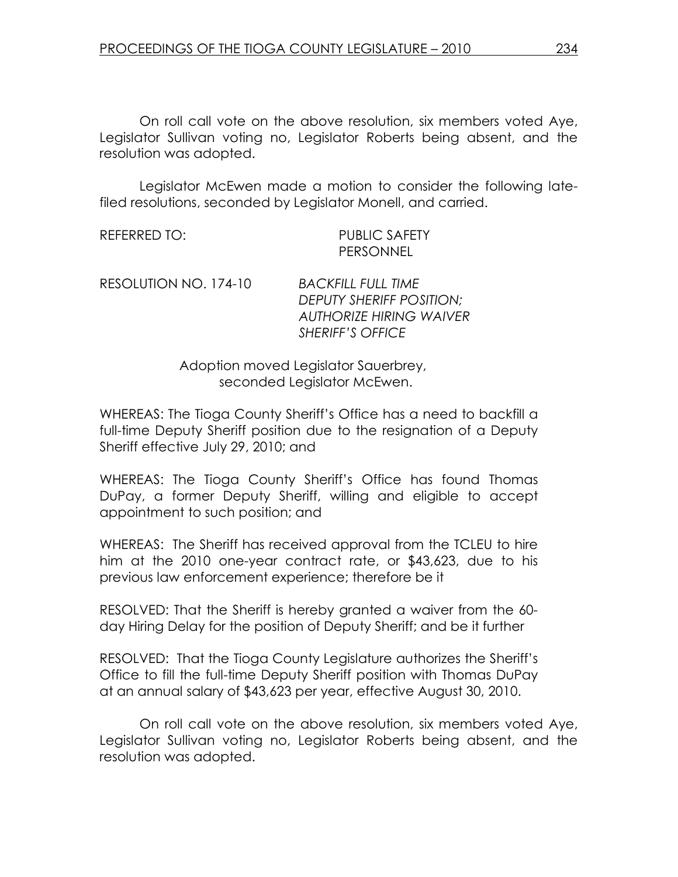On roll call vote on the above resolution, six members voted Aye, Legislator Sullivan voting no, Legislator Roberts being absent, and the resolution was adopted.

 Legislator McEwen made a motion to consider the following latefiled resolutions, seconded by Legislator Monell, and carried.

REFERRED TO: PUBLIC SAFETY PERSONNEL

RESOLUTION NO. 174-10 BACKFILL FULL TIME

DEPUTY SHERIFF POSITION; AUTHORIZE HIRING WAIVER SHERIFF'S OFFICE

 Adoption moved Legislator Sauerbrey, seconded Legislator McEwen.

WHEREAS: The Tioga County Sheriff's Office has a need to backfill a full-time Deputy Sheriff position due to the resignation of a Deputy Sheriff effective July 29, 2010; and

WHEREAS: The Tioga County Sheriff's Office has found Thomas DuPay, a former Deputy Sheriff, willing and eligible to accept appointment to such position; and

WHEREAS: The Sheriff has received approval from the TCLEU to hire him at the 2010 one-year contract rate, or \$43,623, due to his previous law enforcement experience; therefore be it

RESOLVED: That the Sheriff is hereby granted a waiver from the 60 day Hiring Delay for the position of Deputy Sheriff; and be it further

RESOLVED: That the Tioga County Legislature authorizes the Sheriff's Office to fill the full-time Deputy Sheriff position with Thomas DuPay at an annual salary of \$43,623 per year, effective August 30, 2010.

 On roll call vote on the above resolution, six members voted Aye, Legislator Sullivan voting no, Legislator Roberts being absent, and the resolution was adopted.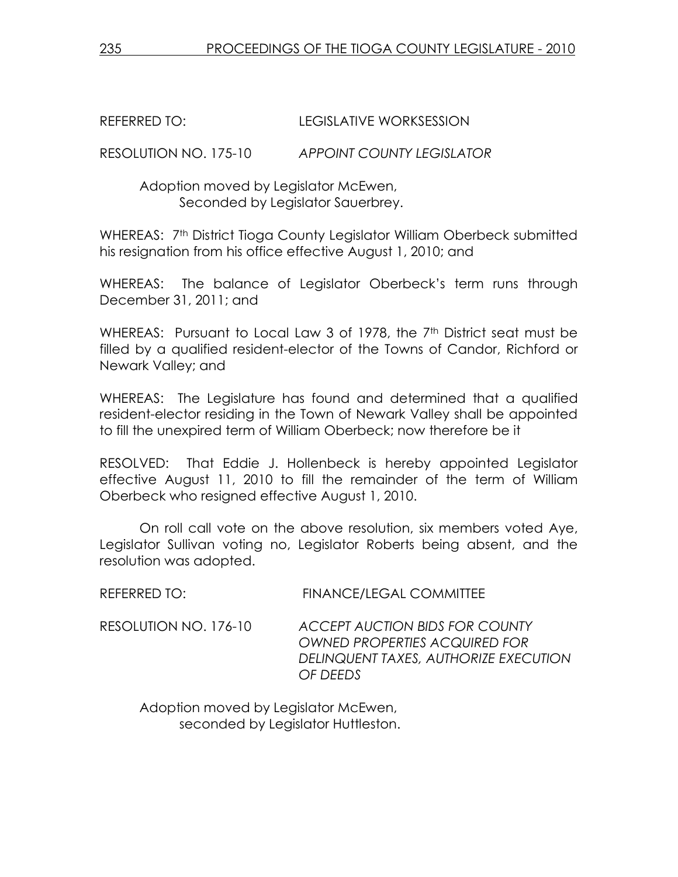REFERRED TO: LEGISLATIVE WORKSESSION

RESOLUTION NO. 175-10 APPOINT COUNTY LEGISLATOR

 Adoption moved by Legislator McEwen, Seconded by Legislator Sauerbrey.

WHEREAS: 7<sup>th</sup> District Tioga County Legislator William Oberbeck submitted his resignation from his office effective August 1, 2010; and

WHEREAS: The balance of Legislator Oberbeck's term runs through December 31, 2011; and

WHEREAS: Pursuant to Local Law 3 of 1978, the 7<sup>th</sup> District seat must be filled by a qualified resident-elector of the Towns of Candor, Richford or Newark Valley; and

WHEREAS: The Legislature has found and determined that a qualified resident-elector residing in the Town of Newark Valley shall be appointed to fill the unexpired term of William Oberbeck; now therefore be it

RESOLVED: That Eddie J. Hollenbeck is hereby appointed Legislator effective August 11, 2010 to fill the remainder of the term of William Oberbeck who resigned effective August 1, 2010.

 On roll call vote on the above resolution, six members voted Aye, Legislator Sullivan voting no, Legislator Roberts being absent, and the resolution was adopted.

| REFERRED TO: | <b>FINANCE/LEGAL COMMITTEE</b> |
|--------------|--------------------------------|
|              |                                |

RESOLUTION NO. 176-10 ACCEPT AUCTION BIDS FOR COUNTY OWNED PROPERTIES ACQUIRED FOR DELINQUENT TAXES, AUTHORIZE EXECUTION OF DEEDS

 Adoption moved by Legislator McEwen, seconded by Legislator Huttleston.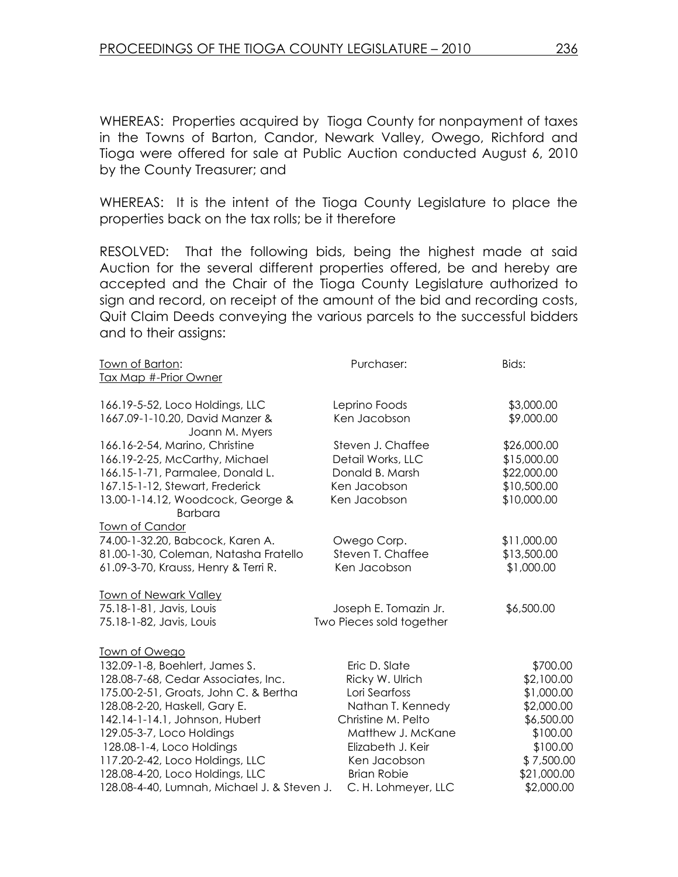WHEREAS: Properties acquired by Tioga County for nonpayment of taxes in the Towns of Barton, Candor, Newark Valley, Owego, Richford and Tioga were offered for sale at Public Auction conducted August 6, 2010 by the County Treasurer; and

WHEREAS: It is the intent of the Tioga County Legislature to place the properties back on the tax rolls; be it therefore

RESOLVED: That the following bids, being the highest made at said Auction for the several different properties offered, be and hereby are accepted and the Chair of the Tioga County Legislature authorized to sign and record, on receipt of the amount of the bid and recording costs, Quit Claim Deeds conveying the various parcels to the successful bidders and to their assigns:

| <u>Town of Barton:</u>                            | Purchaser:               | Bids:       |
|---------------------------------------------------|--------------------------|-------------|
| Tax Map #-Prior Owner                             |                          |             |
| 166.19-5-52, Loco Holdings, LLC                   | Leprino Foods            | \$3,000.00  |
| 1667.09-1-10.20, David Manzer &<br>Joann M. Myers | Ken Jacobson             | \$9,000.00  |
| 166.16-2-54, Marino, Christine                    | Steven J. Chaffee        | \$26,000.00 |
| 166.19-2-25, McCarthy, Michael                    | Detail Works, LLC        | \$15,000.00 |
| 166.15-1-71, Parmalee, Donald L.                  | Donald B. Marsh          | \$22,000.00 |
| 167.15-1-12, Stewart, Frederick                   | Ken Jacobson             | \$10,500.00 |
| 13.00-1-14.12, Woodcock, George &                 | Ken Jacobson             | \$10,000.00 |
| <b>Barbara</b>                                    |                          |             |
| Town of Candor                                    |                          |             |
| 74.00-1-32.20, Babcock, Karen A.                  | Owego Corp.              | \$11,000.00 |
| 81.00-1-30, Coleman, Natasha Fratello             | Steven T. Chaffee        | \$13,500.00 |
| 61.09-3-70, Krauss, Henry & Terri R.              | Ken Jacobson             | \$1,000.00  |
| <b>Town of Newark Valley</b>                      |                          |             |
| 75.18-1-81, Javis, Louis                          | Joseph E. Tomazin Jr.    | \$6,500.00  |
| 75.18-1-82, Javis, Louis                          | Two Pieces sold together |             |
| Town of Owego                                     |                          |             |
| 132.09-1-8, Boehlert, James S.                    | Eric D. Slate            | \$700.00    |
| 128.08-7-68, Cedar Associates, Inc.               | Ricky W. Ulrich          | \$2,100.00  |
| 175.00-2-51, Groats, John C. & Bertha             | Lori Searfoss            | \$1,000.00  |
| 128.08-2-20, Haskell, Gary E.                     | Nathan T. Kennedy        | \$2,000.00  |
| 142.14-1-14.1, Johnson, Hubert                    | Christine M. Pelto       | \$6,500.00  |
| 129.05-3-7, Loco Holdings                         | Matthew J. McKane        | \$100.00    |
| 128.08-1-4, Loco Holdings                         | Elizabeth J. Keir        | \$100.00    |
| 117.20-2-42, Loco Holdings, LLC                   | Ken Jacobson             | \$7,500.00  |
| 128.08-4-20, Loco Holdings, LLC                   | <b>Brian Robie</b>       | \$21,000.00 |
| 128.08-4-40, Lumnah, Michael J. & Steven J.       | C. H. Lohmeyer, LLC      | \$2,000.00  |